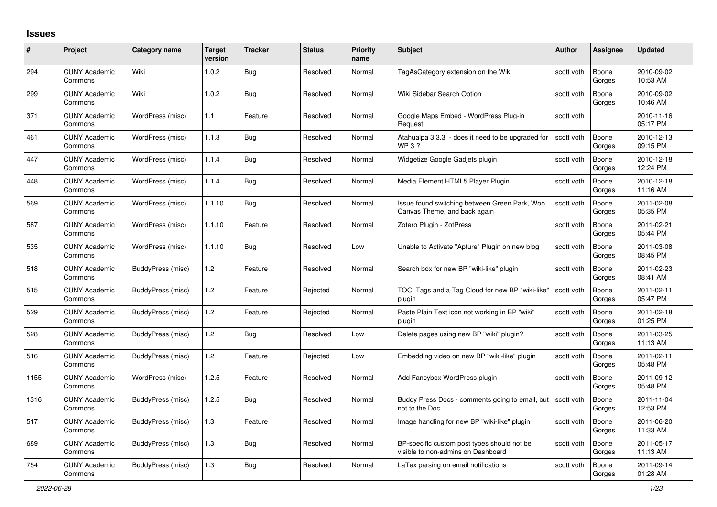## **Issues**

| #    | Project                         | Category name     | <b>Target</b><br>version | <b>Tracker</b> | <b>Status</b> | <b>Priority</b><br>name | <b>Subject</b>                                                                    | <b>Author</b> | <b>Assignee</b> | <b>Updated</b>         |
|------|---------------------------------|-------------------|--------------------------|----------------|---------------|-------------------------|-----------------------------------------------------------------------------------|---------------|-----------------|------------------------|
| 294  | <b>CUNY Academic</b><br>Commons | Wiki              | 1.0.2                    | Bug            | Resolved      | Normal                  | TagAsCategory extension on the Wiki                                               | scott voth    | Boone<br>Gorges | 2010-09-02<br>10:53 AM |
| 299  | <b>CUNY Academic</b><br>Commons | Wiki              | 1.0.2                    | Bug            | Resolved      | Normal                  | Wiki Sidebar Search Option                                                        | scott voth    | Boone<br>Gorges | 2010-09-02<br>10:46 AM |
| 371  | <b>CUNY Academic</b><br>Commons | WordPress (misc)  | 1.1                      | Feature        | Resolved      | Normal                  | Google Maps Embed - WordPress Plug-in<br>Request                                  | scott voth    |                 | 2010-11-16<br>05:17 PM |
| 461  | <b>CUNY Academic</b><br>Commons | WordPress (misc)  | 1.1.3                    | Bug            | Resolved      | Normal                  | Atahualpa 3.3.3 - does it need to be upgraded for<br>WP 3 ?                       | scott voth    | Boone<br>Gorges | 2010-12-13<br>09:15 PM |
| 447  | <b>CUNY Academic</b><br>Commons | WordPress (misc)  | 1.1.4                    | Bug            | Resolved      | Normal                  | Widgetize Google Gadjets plugin                                                   | scott voth    | Boone<br>Gorges | 2010-12-18<br>12:24 PM |
| 448  | <b>CUNY Academic</b><br>Commons | WordPress (misc)  | 1.1.4                    | <b>Bug</b>     | Resolved      | Normal                  | Media Element HTML5 Player Plugin                                                 | scott voth    | Boone<br>Gorges | 2010-12-18<br>11:16 AM |
| 569  | <b>CUNY Academic</b><br>Commons | WordPress (misc)  | 1.1.10                   | <b>Bug</b>     | Resolved      | Normal                  | Issue found switching between Green Park, Woo<br>Canvas Theme, and back again     | scott voth    | Boone<br>Gorges | 2011-02-08<br>05:35 PM |
| 587  | <b>CUNY Academic</b><br>Commons | WordPress (misc)  | 1.1.10                   | Feature        | Resolved      | Normal                  | Zotero Plugin - ZotPress                                                          | scott voth    | Boone<br>Gorges | 2011-02-21<br>05:44 PM |
| 535  | <b>CUNY Academic</b><br>Commons | WordPress (misc)  | 1.1.10                   | Bug            | Resolved      | Low                     | Unable to Activate "Apture" Plugin on new blog                                    | scott voth    | Boone<br>Gorges | 2011-03-08<br>08:45 PM |
| 518  | <b>CUNY Academic</b><br>Commons | BuddyPress (misc) | 1.2                      | Feature        | Resolved      | Normal                  | Search box for new BP "wiki-like" plugin                                          | scott voth    | Boone<br>Gorges | 2011-02-23<br>08:41 AM |
| 515  | <b>CUNY Academic</b><br>Commons | BuddyPress (misc) | $1.2$                    | Feature        | Rejected      | Normal                  | TOC, Tags and a Tag Cloud for new BP "wiki-like"<br>plugin                        | scott voth    | Boone<br>Gorges | 2011-02-11<br>05:47 PM |
| 529  | <b>CUNY Academic</b><br>Commons | BuddyPress (misc) | 1.2                      | Feature        | Rejected      | Normal                  | Paste Plain Text icon not working in BP "wiki"<br>plugin                          | scott voth    | Boone<br>Gorges | 2011-02-18<br>01:25 PM |
| 528  | <b>CUNY Academic</b><br>Commons | BuddyPress (misc) | $1.2$                    | <b>Bug</b>     | Resolved      | Low                     | Delete pages using new BP "wiki" plugin?                                          | scott voth    | Boone<br>Gorges | 2011-03-25<br>11:13 AM |
| 516  | <b>CUNY Academic</b><br>Commons | BuddyPress (misc) | 1.2                      | Feature        | Rejected      | Low                     | Embedding video on new BP "wiki-like" plugin                                      | scott voth    | Boone<br>Gorges | 2011-02-11<br>05:48 PM |
| 1155 | <b>CUNY Academic</b><br>Commons | WordPress (misc)  | 1.2.5                    | Feature        | Resolved      | Normal                  | Add Fancybox WordPress plugin                                                     | scott voth    | Boone<br>Gorges | 2011-09-12<br>05:48 PM |
| 1316 | <b>CUNY Academic</b><br>Commons | BuddyPress (misc) | 1.2.5                    | <b>Bug</b>     | Resolved      | Normal                  | Buddy Press Docs - comments going to email, but<br>not to the Doc                 | scott voth    | Boone<br>Gorges | 2011-11-04<br>12:53 PM |
| 517  | <b>CUNY Academic</b><br>Commons | BuddyPress (misc) | 1.3                      | Feature        | Resolved      | Normal                  | Image handling for new BP "wiki-like" plugin                                      | scott voth    | Boone<br>Gorges | 2011-06-20<br>11:33 AM |
| 689  | <b>CUNY Academic</b><br>Commons | BuddyPress (misc) | $1.3$                    | <b>Bug</b>     | Resolved      | Normal                  | BP-specific custom post types should not be<br>visible to non-admins on Dashboard | scott voth    | Boone<br>Gorges | 2011-05-17<br>11:13 AM |
| 754  | <b>CUNY Academic</b><br>Commons | BuddyPress (misc) | 1.3                      | <b>Bug</b>     | Resolved      | Normal                  | LaTex parsing on email notifications                                              | scott voth    | Boone<br>Gorges | 2011-09-14<br>01:28 AM |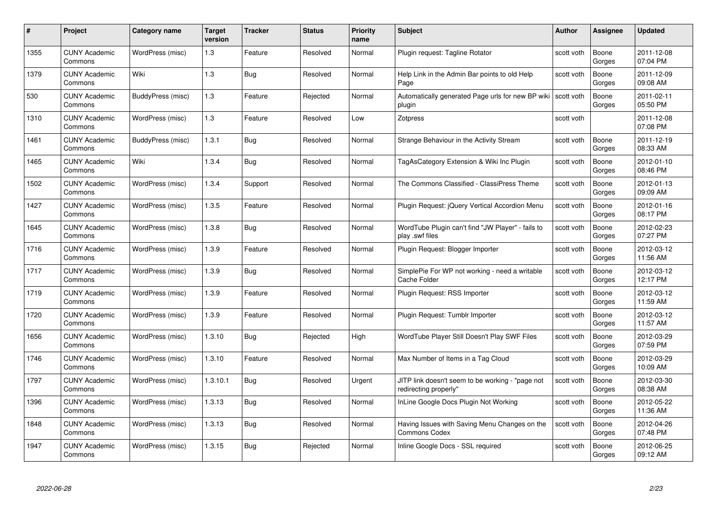| #    | Project                         | <b>Category name</b> | Target<br>version | <b>Tracker</b> | <b>Status</b> | <b>Priority</b><br>name | <b>Subject</b>                                                            | <b>Author</b> | <b>Assignee</b> | <b>Updated</b>         |
|------|---------------------------------|----------------------|-------------------|----------------|---------------|-------------------------|---------------------------------------------------------------------------|---------------|-----------------|------------------------|
| 1355 | <b>CUNY Academic</b><br>Commons | WordPress (misc)     | $1.3$             | Feature        | Resolved      | Normal                  | Plugin request: Tagline Rotator                                           | scott voth    | Boone<br>Gorges | 2011-12-08<br>07:04 PM |
| 1379 | <b>CUNY Academic</b><br>Commons | Wiki                 | $1.3$             | Bug            | Resolved      | Normal                  | Help Link in the Admin Bar points to old Help<br>Page                     | scott voth    | Boone<br>Gorges | 2011-12-09<br>09:08 AM |
| 530  | <b>CUNY Academic</b><br>Commons | BuddyPress (misc)    | $1.3$             | Feature        | Rejected      | Normal                  | Automatically generated Page urls for new BP wiki<br>plugin               | scott voth    | Boone<br>Gorges | 2011-02-11<br>05:50 PM |
| 1310 | <b>CUNY Academic</b><br>Commons | WordPress (misc)     | 1.3               | Feature        | Resolved      | Low                     | Zotpress                                                                  | scott voth    |                 | 2011-12-08<br>07:08 PM |
| 1461 | CUNY Academic<br>Commons        | BuddyPress (misc)    | 1.3.1             | Bug            | Resolved      | Normal                  | Strange Behaviour in the Activity Stream                                  | scott voth    | Boone<br>Gorges | 2011-12-19<br>08:33 AM |
| 1465 | <b>CUNY Academic</b><br>Commons | Wiki                 | 1.3.4             | <b>Bug</b>     | Resolved      | Normal                  | TagAsCategory Extension & Wiki Inc Plugin                                 | scott voth    | Boone<br>Gorges | 2012-01-10<br>08:46 PM |
| 1502 | <b>CUNY Academic</b><br>Commons | WordPress (misc)     | 1.3.4             | Support        | Resolved      | Normal                  | The Commons Classified - ClassiPress Theme                                | scott voth    | Boone<br>Gorges | 2012-01-13<br>09:09 AM |
| 1427 | <b>CUNY Academic</b><br>Commons | WordPress (misc)     | 1.3.5             | Feature        | Resolved      | Normal                  | Plugin Request: jQuery Vertical Accordion Menu                            | scott voth    | Boone<br>Gorges | 2012-01-16<br>08:17 PM |
| 1645 | <b>CUNY Academic</b><br>Commons | WordPress (misc)     | 1.3.8             | <b>Bug</b>     | Resolved      | Normal                  | WordTube Plugin can't find "JW Player" - fails to<br>play .swf files      | scott voth    | Boone<br>Gorges | 2012-02-23<br>07:27 PM |
| 1716 | <b>CUNY Academic</b><br>Commons | WordPress (misc)     | 1.3.9             | Feature        | Resolved      | Normal                  | Plugin Request: Blogger Importer                                          | scott voth    | Boone<br>Gorges | 2012-03-12<br>11:56 AM |
| 1717 | CUNY Academic<br>Commons        | WordPress (misc)     | 1.3.9             | Bug            | Resolved      | Normal                  | SimplePie For WP not working - need a writable<br>Cache Folder            | scott voth    | Boone<br>Gorges | 2012-03-12<br>12:17 PM |
| 1719 | <b>CUNY Academic</b><br>Commons | WordPress (misc)     | 1.3.9             | Feature        | Resolved      | Normal                  | Plugin Request: RSS Importer                                              | scott voth    | Boone<br>Gorges | 2012-03-12<br>11:59 AM |
| 1720 | <b>CUNY Academic</b><br>Commons | WordPress (misc)     | 1.3.9             | Feature        | Resolved      | Normal                  | Plugin Request: Tumblr Importer                                           | scott voth    | Boone<br>Gorges | 2012-03-12<br>11:57 AM |
| 1656 | <b>CUNY Academic</b><br>Commons | WordPress (misc)     | 1.3.10            | Bug            | Rejected      | High                    | WordTube Player Still Doesn't Play SWF Files                              | scott voth    | Boone<br>Gorges | 2012-03-29<br>07:59 PM |
| 1746 | <b>CUNY Academic</b><br>Commons | WordPress (misc)     | 1.3.10            | Feature        | Resolved      | Normal                  | Max Number of Items in a Tag Cloud                                        | scott voth    | Boone<br>Gorges | 2012-03-29<br>10:09 AM |
| 1797 | <b>CUNY Academic</b><br>Commons | WordPress (misc)     | 1.3.10.1          | Bug            | Resolved      | Urgent                  | JITP link doesn't seem to be working - "page not<br>redirecting properly" | scott voth    | Boone<br>Gorges | 2012-03-30<br>08:38 AM |
| 1396 | <b>CUNY Academic</b><br>Commons | WordPress (misc)     | 1.3.13            | <b>Bug</b>     | Resolved      | Normal                  | InLine Google Docs Plugin Not Working                                     | scott voth    | Boone<br>Gorges | 2012-05-22<br>11:36 AM |
| 1848 | <b>CUNY Academic</b><br>Commons | WordPress (misc)     | 1.3.13            | <b>Bug</b>     | Resolved      | Normal                  | Having Issues with Saving Menu Changes on the<br><b>Commons Codex</b>     | scott voth    | Boone<br>Gorges | 2012-04-26<br>07:48 PM |
| 1947 | CUNY Academic<br>Commons        | WordPress (misc)     | 1.3.15            | Bug            | Rejected      | Normal                  | Inline Google Docs - SSL required                                         | scott voth    | Boone<br>Gorges | 2012-06-25<br>09:12 AM |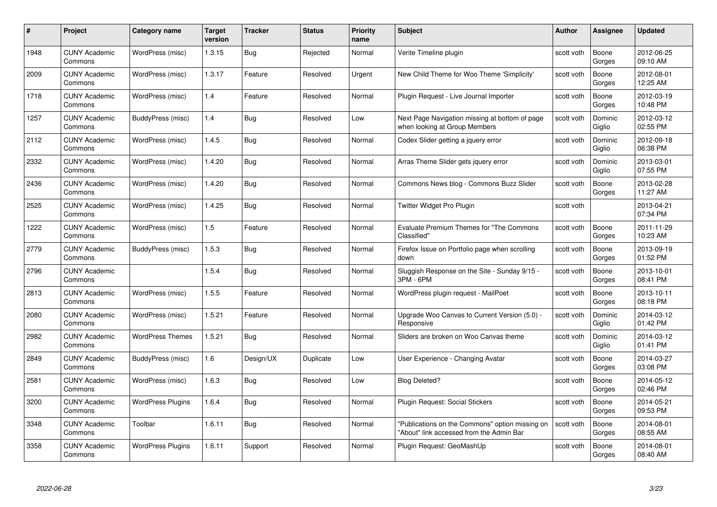| #    | Project                         | Category name            | Target<br>version | <b>Tracker</b> | <b>Status</b> | <b>Priority</b><br>name | <b>Subject</b>                                                                              | Author     | <b>Assignee</b>   | <b>Updated</b>         |
|------|---------------------------------|--------------------------|-------------------|----------------|---------------|-------------------------|---------------------------------------------------------------------------------------------|------------|-------------------|------------------------|
| 1948 | <b>CUNY Academic</b><br>Commons | WordPress (misc)         | 1.3.15            | Bug            | Rejected      | Normal                  | Verite Timeline plugin                                                                      | scott voth | Boone<br>Gorges   | 2012-06-25<br>09:10 AM |
| 2009 | <b>CUNY Academic</b><br>Commons | WordPress (misc)         | 1.3.17            | Feature        | Resolved      | Urgent                  | New Child Theme for Woo Theme 'Simplicity'                                                  | scott voth | Boone<br>Gorges   | 2012-08-01<br>12:25 AM |
| 1718 | <b>CUNY Academic</b><br>Commons | WordPress (misc)         | 1.4               | Feature        | Resolved      | Normal                  | Plugin Request - Live Journal Importer                                                      | scott voth | Boone<br>Gorges   | 2012-03-19<br>10:48 PM |
| 1257 | <b>CUNY Academic</b><br>Commons | BuddyPress (misc)        | 1.4               | Bug            | Resolved      | Low                     | Next Page Navigation missing at bottom of page<br>when looking at Group Members             | scott voth | Dominic<br>Giglio | 2012-03-12<br>02:55 PM |
| 2112 | <b>CUNY Academic</b><br>Commons | WordPress (misc)         | 1.4.5             | <b>Bug</b>     | Resolved      | Normal                  | Codex Slider getting a jquery error                                                         | scott voth | Dominic<br>Giglio | 2012-09-18<br>06:38 PM |
| 2332 | <b>CUNY Academic</b><br>Commons | WordPress (misc)         | 1.4.20            | <b>Bug</b>     | Resolved      | Normal                  | Arras Theme Slider gets jquery error                                                        | scott voth | Dominic<br>Giglio | 2013-03-01<br>07:55 PM |
| 2436 | <b>CUNY Academic</b><br>Commons | WordPress (misc)         | 1.4.20            | Bug            | Resolved      | Normal                  | Commons News blog - Commons Buzz Slider                                                     | scott voth | Boone<br>Gorges   | 2013-02-28<br>11:27 AM |
| 2525 | <b>CUNY Academic</b><br>Commons | WordPress (misc)         | 1.4.25            | Bug            | Resolved      | Normal                  | Twitter Widget Pro Plugin                                                                   | scott voth |                   | 2013-04-21<br>07:34 PM |
| 1222 | <b>CUNY Academic</b><br>Commons | WordPress (misc)         | 1.5               | Feature        | Resolved      | Normal                  | Evaluate Premium Themes for "The Commons<br>Classified"                                     | scott voth | Boone<br>Gorges   | 2011-11-29<br>10:23 AM |
| 2779 | <b>CUNY Academic</b><br>Commons | BuddyPress (misc)        | 1.5.3             | <b>Bug</b>     | Resolved      | Normal                  | Firefox Issue on Portfolio page when scrolling<br>down                                      | scott voth | Boone<br>Gorges   | 2013-09-19<br>01:52 PM |
| 2796 | <b>CUNY Academic</b><br>Commons |                          | 1.5.4             | <b>Bug</b>     | Resolved      | Normal                  | Sluggish Response on the Site - Sunday 9/15 -<br>3PM - 6PM                                  | scott voth | Boone<br>Gorges   | 2013-10-01<br>08:41 PM |
| 2813 | <b>CUNY Academic</b><br>Commons | WordPress (misc)         | 1.5.5             | Feature        | Resolved      | Normal                  | WordPress plugin request - MailPoet                                                         | scott voth | Boone<br>Gorges   | 2013-10-11<br>08:18 PM |
| 2080 | <b>CUNY Academic</b><br>Commons | WordPress (misc)         | 1.5.21            | Feature        | Resolved      | Normal                  | Upgrade Woo Canvas to Current Version (5.0) -<br>Responsive                                 | scott voth | Dominic<br>Giglio | 2014-03-12<br>01:42 PM |
| 2982 | <b>CUNY Academic</b><br>Commons | <b>WordPress Themes</b>  | 1.5.21            | <b>Bug</b>     | Resolved      | Normal                  | Sliders are broken on Woo Canvas theme                                                      | scott voth | Dominic<br>Giglio | 2014-03-12<br>01:41 PM |
| 2849 | <b>CUNY Academic</b><br>Commons | BuddyPress (misc)        | 1.6               | Design/UX      | Duplicate     | Low                     | User Experience - Changing Avatar                                                           | scott voth | Boone<br>Gorges   | 2014-03-27<br>03:08 PM |
| 2581 | <b>CUNY Academic</b><br>Commons | WordPress (misc)         | 1.6.3             | <b>Bug</b>     | Resolved      | Low                     | <b>Blog Deleted?</b>                                                                        | scott voth | Boone<br>Gorges   | 2014-05-12<br>02:46 PM |
| 3200 | <b>CUNY Academic</b><br>Commons | <b>WordPress Plugins</b> | 1.6.4             | Bug            | Resolved      | Normal                  | Plugin Request: Social Stickers                                                             | scott voth | Boone<br>Gorges   | 2014-05-21<br>09:53 PM |
| 3348 | <b>CUNY Academic</b><br>Commons | Toolbar                  | 1.6.11            | <b>Bug</b>     | Resolved      | Normal                  | "Publications on the Commons" option missing on<br>"About" link accessed from the Admin Bar | scott voth | Boone<br>Gorges   | 2014-08-01<br>08:55 AM |
| 3358 | <b>CUNY Academic</b><br>Commons | <b>WordPress Plugins</b> | 1.6.11            | Support        | Resolved      | Normal                  | Plugin Request: GeoMashUp                                                                   | scott voth | Boone<br>Gorges   | 2014-08-01<br>08:40 AM |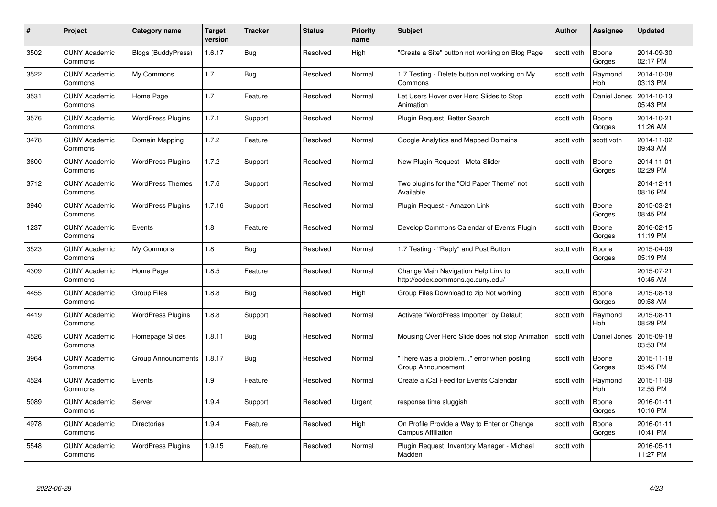| #    | Project                         | <b>Category name</b>     | Target<br>version | <b>Tracker</b> | <b>Status</b> | <b>Priority</b><br>name | <b>Subject</b>                                                           | <b>Author</b> | Assignee              | <b>Updated</b>         |
|------|---------------------------------|--------------------------|-------------------|----------------|---------------|-------------------------|--------------------------------------------------------------------------|---------------|-----------------------|------------------------|
| 3502 | <b>CUNY Academic</b><br>Commons | Blogs (BuddyPress)       | 1.6.17            | Bug            | Resolved      | High                    | "Create a Site" button not working on Blog Page                          | scott voth    | Boone<br>Gorges       | 2014-09-30<br>02:17 PM |
| 3522 | <b>CUNY Academic</b><br>Commons | My Commons               | 1.7               | Bug            | Resolved      | Normal                  | 1.7 Testing - Delete button not working on My<br>Commons                 | scott voth    | Raymond<br><b>Hoh</b> | 2014-10-08<br>03:13 PM |
| 3531 | CUNY Academic<br>Commons        | Home Page                | 1.7               | Feature        | Resolved      | Normal                  | Let Users Hover over Hero Slides to Stop<br>Animation                    | scott voth    | Daniel Jones          | 2014-10-13<br>05:43 PM |
| 3576 | <b>CUNY Academic</b><br>Commons | <b>WordPress Plugins</b> | 1.7.1             | Support        | Resolved      | Normal                  | Plugin Request: Better Search                                            | scott voth    | Boone<br>Gorges       | 2014-10-21<br>11:26 AM |
| 3478 | <b>CUNY Academic</b><br>Commons | Domain Mapping           | 1.7.2             | Feature        | Resolved      | Normal                  | Google Analytics and Mapped Domains                                      | scott voth    | scott voth            | 2014-11-02<br>09:43 AM |
| 3600 | <b>CUNY Academic</b><br>Commons | <b>WordPress Plugins</b> | 1.7.2             | Support        | Resolved      | Normal                  | New Plugin Request - Meta-Slider                                         | scott voth    | Boone<br>Gorges       | 2014-11-01<br>02:29 PM |
| 3712 | <b>CUNY Academic</b><br>Commons | <b>WordPress Themes</b>  | 1.7.6             | Support        | Resolved      | Normal                  | Two plugins for the "Old Paper Theme" not<br>Available                   | scott voth    |                       | 2014-12-11<br>08:16 PM |
| 3940 | <b>CUNY Academic</b><br>Commons | <b>WordPress Plugins</b> | 1.7.16            | Support        | Resolved      | Normal                  | Plugin Request - Amazon Link                                             | scott voth    | Boone<br>Gorges       | 2015-03-21<br>08:45 PM |
| 1237 | <b>CUNY Academic</b><br>Commons | Events                   | 1.8               | Feature        | Resolved      | Normal                  | Develop Commons Calendar of Events Plugin                                | scott voth    | Boone<br>Gorges       | 2016-02-15<br>11:19 PM |
| 3523 | <b>CUNY Academic</b><br>Commons | My Commons               | 1.8               | Bug            | Resolved      | Normal                  | 1.7 Testing - "Reply" and Post Button                                    | scott voth    | Boone<br>Gorges       | 2015-04-09<br>05:19 PM |
| 4309 | <b>CUNY Academic</b><br>Commons | Home Page                | 1.8.5             | Feature        | Resolved      | Normal                  | Change Main Navigation Help Link to<br>http://codex.commons.gc.cuny.edu/ | scott voth    |                       | 2015-07-21<br>10:45 AM |
| 4455 | <b>CUNY Academic</b><br>Commons | <b>Group Files</b>       | 1.8.8             | <b>Bug</b>     | Resolved      | High                    | Group Files Download to zip Not working                                  | scott voth    | Boone<br>Gorges       | 2015-08-19<br>09:58 AM |
| 4419 | <b>CUNY Academic</b><br>Commons | <b>WordPress Plugins</b> | 1.8.8             | Support        | Resolved      | Normal                  | Activate "WordPress Importer" by Default                                 | scott voth    | Raymond<br>Hoh        | 2015-08-11<br>08:29 PM |
| 4526 | <b>CUNY Academic</b><br>Commons | Homepage Slides          | 1.8.11            | Bug            | Resolved      | Normal                  | Mousing Over Hero Slide does not stop Animation                          | scott voth    | Daniel Jones          | 2015-09-18<br>03:53 PM |
| 3964 | <b>CUNY Academic</b><br>Commons | Group Announcments       | 1.8.17            | Bug            | Resolved      | Normal                  | "There was a problem" error when posting<br>Group Announcement           | scott voth    | Boone<br>Gorges       | 2015-11-18<br>05:45 PM |
| 4524 | <b>CUNY Academic</b><br>Commons | Events                   | 1.9               | Feature        | Resolved      | Normal                  | Create a iCal Feed for Events Calendar                                   | scott voth    | Raymond<br>Hoh        | 2015-11-09<br>12:55 PM |
| 5089 | <b>CUNY Academic</b><br>Commons | Server                   | 1.9.4             | Support        | Resolved      | Urgent                  | response time sluggish                                                   | scott voth    | Boone<br>Gorges       | 2016-01-11<br>10:16 PM |
| 4978 | <b>CUNY Academic</b><br>Commons | Directories              | 1.9.4             | Feature        | Resolved      | High                    | On Profile Provide a Way to Enter or Change<br>Campus Affiliation        | scott voth    | Boone<br>Gorges       | 2016-01-11<br>10:41 PM |
| 5548 | CUNY Academic<br>Commons        | <b>WordPress Plugins</b> | 1.9.15            | Feature        | Resolved      | Normal                  | Plugin Reguest: Inventory Manager - Michael<br>Madden                    | scott voth    |                       | 2016-05-11<br>11:27 PM |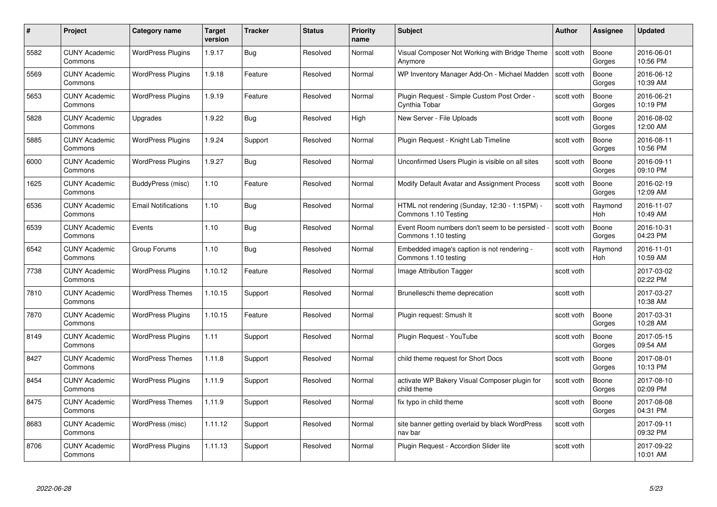| #    | Project                         | <b>Category name</b>       | Target<br>version | <b>Tracker</b> | <b>Status</b> | <b>Priority</b><br>name | <b>Subject</b>                                                        | <b>Author</b> | <b>Assignee</b> | <b>Updated</b>         |
|------|---------------------------------|----------------------------|-------------------|----------------|---------------|-------------------------|-----------------------------------------------------------------------|---------------|-----------------|------------------------|
| 5582 | <b>CUNY Academic</b><br>Commons | <b>WordPress Plugins</b>   | 1.9.17            | <b>Bug</b>     | Resolved      | Normal                  | Visual Composer Not Working with Bridge Theme<br>Anymore              | scott voth    | Boone<br>Gorges | 2016-06-01<br>10:56 PM |
| 5569 | <b>CUNY Academic</b><br>Commons | <b>WordPress Plugins</b>   | 1.9.18            | Feature        | Resolved      | Normal                  | WP Inventory Manager Add-On - Michael Madden                          | scott voth    | Boone<br>Gorges | 2016-06-12<br>10:39 AM |
| 5653 | <b>CUNY Academic</b><br>Commons | <b>WordPress Plugins</b>   | 1.9.19            | Feature        | Resolved      | Normal                  | Plugin Request - Simple Custom Post Order -<br>Cynthia Tobar          | scott voth    | Boone<br>Gorges | 2016-06-21<br>10:19 PM |
| 5828 | <b>CUNY Academic</b><br>Commons | Upgrades                   | 1.9.22            | Bug            | Resolved      | High                    | New Server - File Uploads                                             | scott voth    | Boone<br>Gorges | 2016-08-02<br>12:00 AM |
| 5885 | <b>CUNY Academic</b><br>Commons | <b>WordPress Plugins</b>   | 1.9.24            | Support        | Resolved      | Normal                  | Plugin Reguest - Knight Lab Timeline                                  | scott voth    | Boone<br>Gorges | 2016-08-11<br>10:56 PM |
| 6000 | <b>CUNY Academic</b><br>Commons | <b>WordPress Plugins</b>   | 1.9.27            | Bug            | Resolved      | Normal                  | Unconfirmed Users Plugin is visible on all sites                      | scott voth    | Boone<br>Gorges | 2016-09-11<br>09:10 PM |
| 1625 | <b>CUNY Academic</b><br>Commons | BuddyPress (misc)          | 1.10              | Feature        | Resolved      | Normal                  | Modify Default Avatar and Assignment Process                          | scott voth    | Boone<br>Gorges | 2016-02-19<br>12:09 AM |
| 6536 | <b>CUNY Academic</b><br>Commons | <b>Email Notifications</b> | 1.10              | Bug            | Resolved      | Normal                  | HTML not rendering (Sunday, 12:30 - 1:15PM) -<br>Commons 1.10 Testing | scott voth    | Raymond<br>Hoh  | 2016-11-07<br>10:49 AM |
| 6539 | <b>CUNY Academic</b><br>Commons | Events                     | 1.10              | Bug            | Resolved      | Normal                  | Event Room numbers don't seem to be persisted<br>Commons 1.10 testing | scott voth    | Boone<br>Gorges | 2016-10-31<br>04:23 PM |
| 6542 | <b>CUNY Academic</b><br>Commons | Group Forums               | 1.10              | Bug            | Resolved      | Normal                  | Embedded image's caption is not rendering -<br>Commons 1.10 testing   | scott voth    | Raymond<br>Hoh  | 2016-11-01<br>10:59 AM |
| 7738 | <b>CUNY Academic</b><br>Commons | <b>WordPress Plugins</b>   | 1.10.12           | Feature        | Resolved      | Normal                  | Image Attribution Tagger                                              | scott voth    |                 | 2017-03-02<br>02:22 PM |
| 7810 | <b>CUNY Academic</b><br>Commons | <b>WordPress Themes</b>    | 1.10.15           | Support        | Resolved      | Normal                  | Brunelleschi theme deprecation                                        | scott voth    |                 | 2017-03-27<br>10:38 AM |
| 7870 | <b>CUNY Academic</b><br>Commons | <b>WordPress Plugins</b>   | 1.10.15           | Feature        | Resolved      | Normal                  | Plugin request: Smush It                                              | scott voth    | Boone<br>Gorges | 2017-03-31<br>10:28 AM |
| 8149 | <b>CUNY Academic</b><br>Commons | <b>WordPress Plugins</b>   | 1.11              | Support        | Resolved      | Normal                  | Plugin Request - YouTube                                              | scott voth    | Boone<br>Gorges | 2017-05-15<br>09:54 AM |
| 8427 | CUNY Academic<br>Commons        | <b>WordPress Themes</b>    | 1.11.8            | Support        | Resolved      | Normal                  | child theme request for Short Docs                                    | scott voth    | Boone<br>Gorges | 2017-08-01<br>10:13 PM |
| 8454 | <b>CUNY Academic</b><br>Commons | <b>WordPress Plugins</b>   | 1.11.9            | Support        | Resolved      | Normal                  | activate WP Bakery Visual Composer plugin for<br>child theme          | scott voth    | Boone<br>Gorges | 2017-08-10<br>02:09 PM |
| 8475 | <b>CUNY Academic</b><br>Commons | <b>WordPress Themes</b>    | 1.11.9            | Support        | Resolved      | Normal                  | fix typo in child theme                                               | scott voth    | Boone<br>Gorges | 2017-08-08<br>04:31 PM |
| 8683 | <b>CUNY Academic</b><br>Commons | WordPress (misc)           | 1.11.12           | Support        | Resolved      | Normal                  | site banner getting overlaid by black WordPress<br>nav bar            | scott voth    |                 | 2017-09-11<br>09:32 PM |
| 8706 | CUNY Academic<br>Commons        | <b>WordPress Plugins</b>   | 1.11.13           | Support        | Resolved      | Normal                  | Plugin Reguest - Accordion Slider lite                                | scott voth    |                 | 2017-09-22<br>10:01 AM |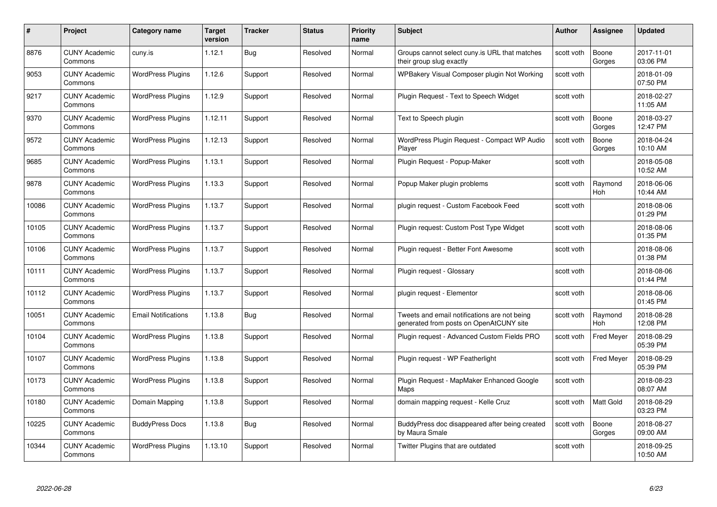| #     | Project                         | <b>Category name</b>       | Target<br>version | <b>Tracker</b> | <b>Status</b> | <b>Priority</b><br>name | <b>Subject</b>                                                                          | <b>Author</b> | <b>Assignee</b>   | <b>Updated</b>         |
|-------|---------------------------------|----------------------------|-------------------|----------------|---------------|-------------------------|-----------------------------------------------------------------------------------------|---------------|-------------------|------------------------|
| 8876  | <b>CUNY Academic</b><br>Commons | cuny.is                    | 1.12.1            | Bug            | Resolved      | Normal                  | Groups cannot select cuny is URL that matches<br>their group slug exactly               | scott voth    | Boone<br>Gorges   | 2017-11-01<br>03:06 PM |
| 9053  | <b>CUNY Academic</b><br>Commons | <b>WordPress Plugins</b>   | 1.12.6            | Support        | Resolved      | Normal                  | WPBakery Visual Composer plugin Not Working                                             | scott voth    |                   | 2018-01-09<br>07:50 PM |
| 9217  | <b>CUNY Academic</b><br>Commons | <b>WordPress Plugins</b>   | 1.12.9            | Support        | Resolved      | Normal                  | Plugin Request - Text to Speech Widget                                                  | scott voth    |                   | 2018-02-27<br>11:05 AM |
| 9370  | <b>CUNY Academic</b><br>Commons | <b>WordPress Plugins</b>   | 1.12.11           | Support        | Resolved      | Normal                  | Text to Speech plugin                                                                   | scott voth    | Boone<br>Gorges   | 2018-03-27<br>12:47 PM |
| 9572  | CUNY Academic<br>Commons        | <b>WordPress Plugins</b>   | 1.12.13           | Support        | Resolved      | Normal                  | WordPress Plugin Request - Compact WP Audio<br>Player                                   | scott voth    | Boone<br>Gorges   | 2018-04-24<br>10:10 AM |
| 9685  | <b>CUNY Academic</b><br>Commons | <b>WordPress Plugins</b>   | 1.13.1            | Support        | Resolved      | Normal                  | Plugin Request - Popup-Maker                                                            | scott voth    |                   | 2018-05-08<br>10:52 AM |
| 9878  | <b>CUNY Academic</b><br>Commons | <b>WordPress Plugins</b>   | 1.13.3            | Support        | Resolved      | Normal                  | Popup Maker plugin problems                                                             | scott voth    | Raymond<br>Hoh    | 2018-06-06<br>10:44 AM |
| 10086 | <b>CUNY Academic</b><br>Commons | <b>WordPress Plugins</b>   | 1.13.7            | Support        | Resolved      | Normal                  | plugin request - Custom Facebook Feed                                                   | scott voth    |                   | 2018-08-06<br>01:29 PM |
| 10105 | <b>CUNY Academic</b><br>Commons | <b>WordPress Plugins</b>   | 1.13.7            | Support        | Resolved      | Normal                  | Plugin request: Custom Post Type Widget                                                 | scott voth    |                   | 2018-08-06<br>01:35 PM |
| 10106 | <b>CUNY Academic</b><br>Commons | <b>WordPress Plugins</b>   | 1.13.7            | Support        | Resolved      | Normal                  | Plugin request - Better Font Awesome                                                    | scott voth    |                   | 2018-08-06<br>01:38 PM |
| 10111 | CUNY Academic<br>Commons        | <b>WordPress Plugins</b>   | 1.13.7            | Support        | Resolved      | Normal                  | Plugin request - Glossary                                                               | scott voth    |                   | 2018-08-06<br>01:44 PM |
| 10112 | <b>CUNY Academic</b><br>Commons | <b>WordPress Plugins</b>   | 1.13.7            | Support        | Resolved      | Normal                  | plugin request - Elementor                                                              | scott voth    |                   | 2018-08-06<br>01:45 PM |
| 10051 | <b>CUNY Academic</b><br>Commons | <b>Email Notifications</b> | 1.13.8            | Bug            | Resolved      | Normal                  | Tweets and email notifications are not being<br>generated from posts on OpenAtCUNY site | scott voth    | Raymond<br>Hoh    | 2018-08-28<br>12:08 PM |
| 10104 | <b>CUNY Academic</b><br>Commons | <b>WordPress Plugins</b>   | 1.13.8            | Support        | Resolved      | Normal                  | Plugin request - Advanced Custom Fields PRO                                             | scott voth    | <b>Fred Meyer</b> | 2018-08-29<br>05:39 PM |
| 10107 | <b>CUNY Academic</b><br>Commons | <b>WordPress Plugins</b>   | 1.13.8            | Support        | Resolved      | Normal                  | Plugin request - WP Featherlight                                                        | scott voth    | <b>Fred Meyer</b> | 2018-08-29<br>05:39 PM |
| 10173 | <b>CUNY Academic</b><br>Commons | <b>WordPress Plugins</b>   | 1.13.8            | Support        | Resolved      | Normal                  | Plugin Request - MapMaker Enhanced Google<br>Maps                                       | scott voth    |                   | 2018-08-23<br>08:07 AM |
| 10180 | <b>CUNY Academic</b><br>Commons | Domain Mapping             | 1.13.8            | Support        | Resolved      | Normal                  | domain mapping request - Kelle Cruz                                                     | scott voth    | <b>Matt Gold</b>  | 2018-08-29<br>03:23 PM |
| 10225 | <b>CUNY Academic</b><br>Commons | <b>BuddyPress Docs</b>     | 1.13.8            | <b>Bug</b>     | Resolved      | Normal                  | BuddyPress doc disappeared after being created<br>by Maura Smale                        | scott voth    | Boone<br>Gorges   | 2018-08-27<br>09:00 AM |
| 10344 | CUNY Academic<br>Commons        | <b>WordPress Plugins</b>   | 1.13.10           | Support        | Resolved      | Normal                  | Twitter Plugins that are outdated                                                       | scott voth    |                   | 2018-09-25<br>10:50 AM |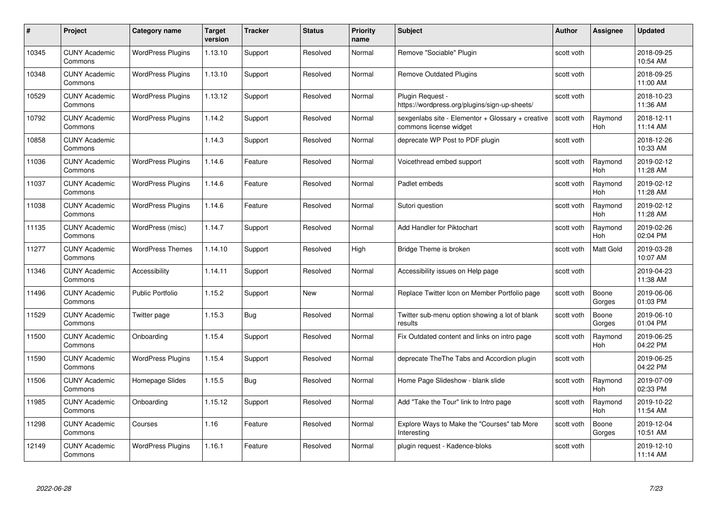| #     | Project                         | Category name            | Target<br>version | <b>Tracker</b> | <b>Status</b> | <b>Priority</b><br>name | <b>Subject</b>                                                              | <b>Author</b> | Assignee              | <b>Updated</b>         |
|-------|---------------------------------|--------------------------|-------------------|----------------|---------------|-------------------------|-----------------------------------------------------------------------------|---------------|-----------------------|------------------------|
| 10345 | <b>CUNY Academic</b><br>Commons | <b>WordPress Plugins</b> | 1.13.10           | Support        | Resolved      | Normal                  | Remove "Sociable" Plugin                                                    | scott voth    |                       | 2018-09-25<br>10:54 AM |
| 10348 | <b>CUNY Academic</b><br>Commons | <b>WordPress Plugins</b> | 1.13.10           | Support        | Resolved      | Normal                  | <b>Remove Outdated Plugins</b>                                              | scott voth    |                       | 2018-09-25<br>11:00 AM |
| 10529 | <b>CUNY Academic</b><br>Commons | <b>WordPress Plugins</b> | 1.13.12           | Support        | Resolved      | Normal                  | Plugin Request -<br>https://wordpress.org/plugins/sign-up-sheets/           | scott voth    |                       | 2018-10-23<br>11:36 AM |
| 10792 | <b>CUNY Academic</b><br>Commons | <b>WordPress Plugins</b> | 1.14.2            | Support        | Resolved      | Normal                  | sexgenlabs site - Elementor + Glossary + creative<br>commons license widget | scott voth    | Raymond<br>Hoh        | 2018-12-11<br>11:14 AM |
| 10858 | <b>CUNY Academic</b><br>Commons |                          | 1.14.3            | Support        | Resolved      | Normal                  | deprecate WP Post to PDF plugin                                             | scott voth    |                       | 2018-12-26<br>10:33 AM |
| 11036 | <b>CUNY Academic</b><br>Commons | <b>WordPress Plugins</b> | 1.14.6            | Feature        | Resolved      | Normal                  | Voicethread embed support                                                   | scott voth    | Raymond<br>Hoh        | 2019-02-12<br>11:28 AM |
| 11037 | <b>CUNY Academic</b><br>Commons | <b>WordPress Plugins</b> | 1.14.6            | Feature        | Resolved      | Normal                  | Padlet embeds                                                               | scott voth    | Raymond<br>Hoh        | 2019-02-12<br>11:28 AM |
| 11038 | <b>CUNY Academic</b><br>Commons | <b>WordPress Plugins</b> | 1.14.6            | Feature        | Resolved      | Normal                  | Sutori question                                                             | scott voth    | Raymond<br><b>Hoh</b> | 2019-02-12<br>11:28 AM |
| 11135 | <b>CUNY Academic</b><br>Commons | WordPress (misc)         | 1.14.7            | Support        | Resolved      | Normal                  | Add Handler for Piktochart                                                  | scott voth    | Raymond<br><b>Hoh</b> | 2019-02-26<br>02:04 PM |
| 11277 | <b>CUNY Academic</b><br>Commons | <b>WordPress Themes</b>  | 1.14.10           | Support        | Resolved      | High                    | Bridge Theme is broken                                                      | scott voth    | Matt Gold             | 2019-03-28<br>10:07 AM |
| 11346 | <b>CUNY Academic</b><br>Commons | Accessibility            | 1.14.11           | Support        | Resolved      | Normal                  | Accessibility issues on Help page                                           | scott voth    |                       | 2019-04-23<br>11:38 AM |
| 11496 | <b>CUNY Academic</b><br>Commons | <b>Public Portfolio</b>  | 1.15.2            | Support        | New           | Normal                  | Replace Twitter Icon on Member Portfolio page                               | scott voth    | Boone<br>Gorges       | 2019-06-06<br>01:03 PM |
| 11529 | <b>CUNY Academic</b><br>Commons | Twitter page             | 1.15.3            | Bug            | Resolved      | Normal                  | Twitter sub-menu option showing a lot of blank<br>results                   | scott voth    | Boone<br>Gorges       | 2019-06-10<br>01:04 PM |
| 11500 | <b>CUNY Academic</b><br>Commons | Onboarding               | 1.15.4            | Support        | Resolved      | Normal                  | Fix Outdated content and links on intro page                                | scott voth    | Raymond<br>Hoh        | 2019-06-25<br>04:22 PM |
| 11590 | <b>CUNY Academic</b><br>Commons | <b>WordPress Plugins</b> | 1.15.4            | Support        | Resolved      | Normal                  | deprecate The The Tabs and Accordion plugin                                 | scott voth    |                       | 2019-06-25<br>04:22 PM |
| 11506 | <b>CUNY Academic</b><br>Commons | Homepage Slides          | 1.15.5            | <b>Bug</b>     | Resolved      | Normal                  | Home Page Slideshow - blank slide                                           | scott voth    | Raymond<br><b>Hoh</b> | 2019-07-09<br>02:33 PM |
| 11985 | <b>CUNY Academic</b><br>Commons | Onboarding               | 1.15.12           | Support        | Resolved      | Normal                  | Add "Take the Tour" link to Intro page                                      | scott voth    | Raymond<br><b>Hoh</b> | 2019-10-22<br>11:54 AM |
| 11298 | <b>CUNY Academic</b><br>Commons | Courses                  | 1.16              | Feature        | Resolved      | Normal                  | Explore Ways to Make the "Courses" tab More<br>Interesting                  | scott voth    | Boone<br>Gorges       | 2019-12-04<br>10:51 AM |
| 12149 | <b>CUNY Academic</b><br>Commons | <b>WordPress Plugins</b> | 1.16.1            | Feature        | Resolved      | Normal                  | plugin request - Kadence-bloks                                              | scott voth    |                       | 2019-12-10<br>11:14 AM |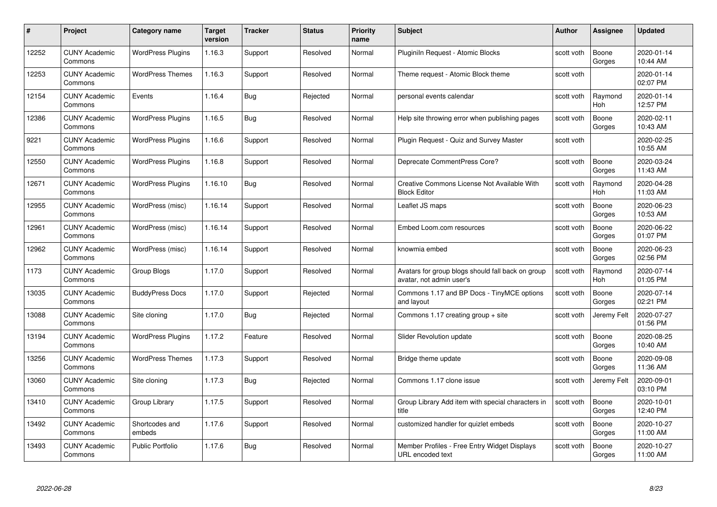| #     | Project                         | <b>Category name</b>     | Target<br>version | <b>Tracker</b> | <b>Status</b> | <b>Priority</b><br>name | <b>Subject</b>                                                                | <b>Author</b> | <b>Assignee</b> | <b>Updated</b>         |
|-------|---------------------------------|--------------------------|-------------------|----------------|---------------|-------------------------|-------------------------------------------------------------------------------|---------------|-----------------|------------------------|
| 12252 | <b>CUNY Academic</b><br>Commons | <b>WordPress Plugins</b> | 1.16.3            | Support        | Resolved      | Normal                  | Pluginiln Request - Atomic Blocks                                             | scott voth    | Boone<br>Gorges | 2020-01-14<br>10:44 AM |
| 12253 | <b>CUNY Academic</b><br>Commons | <b>WordPress Themes</b>  | 1.16.3            | Support        | Resolved      | Normal                  | Theme request - Atomic Block theme                                            | scott voth    |                 | 2020-01-14<br>02:07 PM |
| 12154 | <b>CUNY Academic</b><br>Commons | Events                   | 1.16.4            | Bug            | Rejected      | Normal                  | personal events calendar                                                      | scott voth    | Raymond<br>Hoh  | 2020-01-14<br>12:57 PM |
| 12386 | <b>CUNY Academic</b><br>Commons | <b>WordPress Plugins</b> | 1.16.5            | Bug            | Resolved      | Normal                  | Help site throwing error when publishing pages                                | scott voth    | Boone<br>Gorges | 2020-02-11<br>10:43 AM |
| 9221  | <b>CUNY Academic</b><br>Commons | <b>WordPress Plugins</b> | 1.16.6            | Support        | Resolved      | Normal                  | Plugin Request - Quiz and Survey Master                                       | scott voth    |                 | 2020-02-25<br>10:55 AM |
| 12550 | <b>CUNY Academic</b><br>Commons | <b>WordPress Plugins</b> | 1.16.8            | Support        | Resolved      | Normal                  | Deprecate CommentPress Core?                                                  | scott voth    | Boone<br>Gorges | 2020-03-24<br>11:43 AM |
| 12671 | <b>CUNY Academic</b><br>Commons | <b>WordPress Plugins</b> | 1.16.10           | Bug            | Resolved      | Normal                  | Creative Commons License Not Available With<br><b>Block Editor</b>            | scott voth    | Raymond<br>Hoh  | 2020-04-28<br>11:03 AM |
| 12955 | <b>CUNY Academic</b><br>Commons | WordPress (misc)         | 1.16.14           | Support        | Resolved      | Normal                  | Leaflet JS maps                                                               | scott voth    | Boone<br>Gorges | 2020-06-23<br>10:53 AM |
| 12961 | <b>CUNY Academic</b><br>Commons | WordPress (misc)         | 1.16.14           | Support        | Resolved      | Normal                  | Embed Loom.com resources                                                      | scott voth    | Boone<br>Gorges | 2020-06-22<br>01:07 PM |
| 12962 | <b>CUNY Academic</b><br>Commons | WordPress (misc)         | 1.16.14           | Support        | Resolved      | Normal                  | knowmia embed                                                                 | scott voth    | Boone<br>Gorges | 2020-06-23<br>02:56 PM |
| 1173  | CUNY Academic<br>Commons        | Group Blogs              | 1.17.0            | Support        | Resolved      | Normal                  | Avatars for group blogs should fall back on group<br>avatar, not admin user's | scott voth    | Raymond<br>Hoh  | 2020-07-14<br>01:05 PM |
| 13035 | <b>CUNY Academic</b><br>Commons | <b>BuddyPress Docs</b>   | 1.17.0            | Support        | Rejected      | Normal                  | Commons 1.17 and BP Docs - TinyMCE options<br>and layout                      | scott voth    | Boone<br>Gorges | 2020-07-14<br>02:21 PM |
| 13088 | <b>CUNY Academic</b><br>Commons | Site cloning             | 1.17.0            | <b>Bug</b>     | Rejected      | Normal                  | Commons 1.17 creating group $+$ site                                          | scott voth    | Jeremy Felt     | 2020-07-27<br>01:56 PM |
| 13194 | <b>CUNY Academic</b><br>Commons | <b>WordPress Plugins</b> | 1.17.2            | Feature        | Resolved      | Normal                  | Slider Revolution update                                                      | scott voth    | Boone<br>Gorges | 2020-08-25<br>10:40 AM |
| 13256 | <b>CUNY Academic</b><br>Commons | <b>WordPress Themes</b>  | 1.17.3            | Support        | Resolved      | Normal                  | Bridge theme update                                                           | scott voth    | Boone<br>Gorges | 2020-09-08<br>11:36 AM |
| 13060 | <b>CUNY Academic</b><br>Commons | Site cloning             | 1.17.3            | Bug            | Rejected      | Normal                  | Commons 1.17 clone issue                                                      | scott voth    | Jeremy Felt     | 2020-09-01<br>03:10 PM |
| 13410 | <b>CUNY Academic</b><br>Commons | Group Library            | 1.17.5            | Support        | Resolved      | Normal                  | Group Library Add item with special characters in<br>title                    | scott voth    | Boone<br>Gorges | 2020-10-01<br>12:40 PM |
| 13492 | <b>CUNY Academic</b><br>Commons | Shortcodes and<br>embeds | 1.17.6            | Support        | Resolved      | Normal                  | customized handler for quizlet embeds                                         | scott voth    | Boone<br>Gorges | 2020-10-27<br>11:00 AM |
| 13493 | CUNY Academic<br>Commons        | <b>Public Portfolio</b>  | 1.17.6            | <b>Bug</b>     | Resolved      | Normal                  | Member Profiles - Free Entry Widget Displays<br>URL encoded text              | scott voth    | Boone<br>Gorges | 2020-10-27<br>11:00 AM |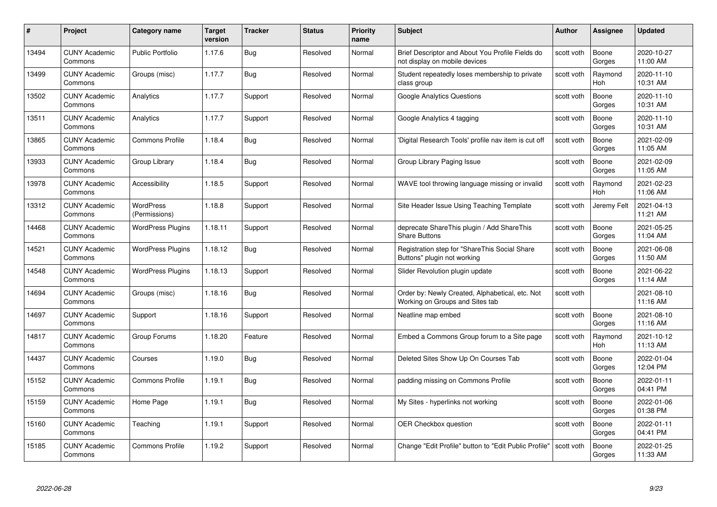| #     | Project                         | <b>Category name</b>       | Target<br>version | <b>Tracker</b> | <b>Status</b> | <b>Priority</b><br>name | <b>Subject</b>                                                                     | <b>Author</b> | Assignee              | <b>Updated</b>         |
|-------|---------------------------------|----------------------------|-------------------|----------------|---------------|-------------------------|------------------------------------------------------------------------------------|---------------|-----------------------|------------------------|
| 13494 | <b>CUNY Academic</b><br>Commons | <b>Public Portfolio</b>    | 1.17.6            | Bug            | Resolved      | Normal                  | Brief Descriptor and About You Profile Fields do<br>not display on mobile devices  | scott voth    | Boone<br>Gorges       | 2020-10-27<br>11:00 AM |
| 13499 | <b>CUNY Academic</b><br>Commons | Groups (misc)              | 1.17.7            | Bug            | Resolved      | Normal                  | Student repeatedly loses membership to private<br>class group                      | scott voth    | Raymond<br><b>Hoh</b> | 2020-11-10<br>10:31 AM |
| 13502 | <b>CUNY Academic</b><br>Commons | Analytics                  | 1.17.7            | Support        | Resolved      | Normal                  | Google Analytics Questions                                                         | scott voth    | Boone<br>Gorges       | 2020-11-10<br>10:31 AM |
| 13511 | <b>CUNY Academic</b><br>Commons | Analytics                  | 1.17.7            | Support        | Resolved      | Normal                  | Google Analytics 4 tagging                                                         | scott voth    | Boone<br>Gorges       | 2020-11-10<br>10:31 AM |
| 13865 | <b>CUNY Academic</b><br>Commons | <b>Commons Profile</b>     | 1.18.4            | <b>Bug</b>     | Resolved      | Normal                  | 'Digital Research Tools' profile nav item is cut off                               | scott voth    | Boone<br>Gorges       | 2021-02-09<br>11:05 AM |
| 13933 | <b>CUNY Academic</b><br>Commons | Group Library              | 1.18.4            | <b>Bug</b>     | Resolved      | Normal                  | Group Library Paging Issue                                                         | scott voth    | Boone<br>Gorges       | 2021-02-09<br>11:05 AM |
| 13978 | <b>CUNY Academic</b><br>Commons | Accessibility              | 1.18.5            | Support        | Resolved      | Normal                  | WAVE tool throwing language missing or invalid                                     | scott voth    | Raymond<br>Hoh        | 2021-02-23<br>11:06 AM |
| 13312 | <b>CUNY Academic</b><br>Commons | WordPress<br>(Permissions) | 1.18.8            | Support        | Resolved      | Normal                  | Site Header Issue Using Teaching Template                                          | scott voth    | Jeremy Felt           | 2021-04-13<br>11:21 AM |
| 14468 | <b>CUNY Academic</b><br>Commons | <b>WordPress Plugins</b>   | 1.18.11           | Support        | Resolved      | Normal                  | deprecate ShareThis plugin / Add ShareThis<br><b>Share Buttons</b>                 | scott voth    | Boone<br>Gorges       | 2021-05-25<br>11:04 AM |
| 14521 | <b>CUNY Academic</b><br>Commons | <b>WordPress Plugins</b>   | 1.18.12           | <b>Bug</b>     | Resolved      | Normal                  | Registration step for "ShareThis Social Share<br>Buttons" plugin not working       | scott voth    | Boone<br>Gorges       | 2021-06-08<br>11:50 AM |
| 14548 | CUNY Academic<br>Commons        | <b>WordPress Plugins</b>   | 1.18.13           | Support        | Resolved      | Normal                  | Slider Revolution plugin update                                                    | scott voth    | Boone<br>Gorges       | 2021-06-22<br>11:14 AM |
| 14694 | <b>CUNY Academic</b><br>Commons | Groups (misc)              | 1.18.16           | <b>Bug</b>     | Resolved      | Normal                  | Order by: Newly Created, Alphabetical, etc. Not<br>Working on Groups and Sites tab | scott voth    |                       | 2021-08-10<br>11:16 AM |
| 14697 | <b>CUNY Academic</b><br>Commons | Support                    | 1.18.16           | Support        | Resolved      | Normal                  | Neatline map embed                                                                 | scott voth    | Boone<br>Gorges       | 2021-08-10<br>11:16 AM |
| 14817 | <b>CUNY Academic</b><br>Commons | Group Forums               | 1.18.20           | Feature        | Resolved      | Normal                  | Embed a Commons Group forum to a Site page                                         | scott voth    | Raymond<br>Hoh        | 2021-10-12<br>11:13 AM |
| 14437 | <b>CUNY Academic</b><br>Commons | Courses                    | 1.19.0            | Bug            | Resolved      | Normal                  | Deleted Sites Show Up On Courses Tab                                               | scott voth    | Boone<br>Gorges       | 2022-01-04<br>12:04 PM |
| 15152 | <b>CUNY Academic</b><br>Commons | <b>Commons Profile</b>     | 1.19.1            | Bug            | Resolved      | Normal                  | padding missing on Commons Profile                                                 | scott voth    | Boone<br>Gorges       | 2022-01-11<br>04:41 PM |
| 15159 | <b>CUNY Academic</b><br>Commons | Home Page                  | 1.19.1            | <b>Bug</b>     | Resolved      | Normal                  | My Sites - hyperlinks not working                                                  | scott voth    | Boone<br>Gorges       | 2022-01-06<br>01:38 PM |
| 15160 | <b>CUNY Academic</b><br>Commons | Teaching                   | 1.19.1            | Support        | Resolved      | Normal                  | <b>OER Checkbox question</b>                                                       | scott voth    | Boone<br>Gorges       | 2022-01-11<br>04:41 PM |
| 15185 | <b>CUNY Academic</b><br>Commons | <b>Commons Profile</b>     | 1.19.2            | Support        | Resolved      | Normal                  | Change "Edit Profile" button to "Edit Public Profile"                              | scott voth    | Boone<br>Gorges       | 2022-01-25<br>11:33 AM |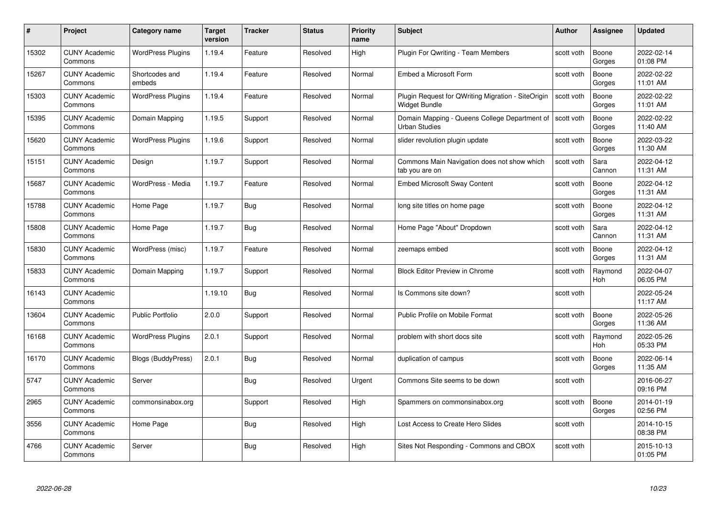| #     | Project                         | Category name            | Target<br>version | <b>Tracker</b> | <b>Status</b> | <b>Priority</b><br>name | <b>Subject</b>                                                        | Author     | Assignee              | <b>Updated</b>         |
|-------|---------------------------------|--------------------------|-------------------|----------------|---------------|-------------------------|-----------------------------------------------------------------------|------------|-----------------------|------------------------|
| 15302 | <b>CUNY Academic</b><br>Commons | <b>WordPress Plugins</b> | 1.19.4            | Feature        | Resolved      | High                    | Plugin For Qwriting - Team Members                                    | scott voth | Boone<br>Gorges       | 2022-02-14<br>01:08 PM |
| 15267 | <b>CUNY Academic</b><br>Commons | Shortcodes and<br>embeds | 1.19.4            | Feature        | Resolved      | Normal                  | Embed a Microsoft Form                                                | scott voth | Boone<br>Gorges       | 2022-02-22<br>11:01 AM |
| 15303 | <b>CUNY Academic</b><br>Commons | <b>WordPress Plugins</b> | 1.19.4            | Feature        | Resolved      | Normal                  | Plugin Request for QWriting Migration - SiteOrigin<br>Widget Bundle   | scott voth | Boone<br>Gorges       | 2022-02-22<br>11:01 AM |
| 15395 | <b>CUNY Academic</b><br>Commons | Domain Mapping           | 1.19.5            | Support        | Resolved      | Normal                  | Domain Mapping - Queens College Department of<br><b>Urban Studies</b> | scott voth | Boone<br>Gorges       | 2022-02-22<br>11:40 AM |
| 15620 | <b>CUNY Academic</b><br>Commons | <b>WordPress Plugins</b> | 1.19.6            | Support        | Resolved      | Normal                  | slider revolution plugin update                                       | scott voth | Boone<br>Gorges       | 2022-03-22<br>11:30 AM |
| 15151 | <b>CUNY Academic</b><br>Commons | Design                   | 1.19.7            | Support        | Resolved      | Normal                  | Commons Main Navigation does not show which<br>tab you are on         | scott voth | Sara<br>Cannon        | 2022-04-12<br>11:31 AM |
| 15687 | <b>CUNY Academic</b><br>Commons | WordPress - Media        | 1.19.7            | Feature        | Resolved      | Normal                  | <b>Embed Microsoft Sway Content</b>                                   | scott voth | Boone<br>Gorges       | 2022-04-12<br>11:31 AM |
| 15788 | <b>CUNY Academic</b><br>Commons | Home Page                | 1.19.7            | Bug            | Resolved      | Normal                  | long site titles on home page                                         | scott voth | Boone<br>Gorges       | 2022-04-12<br>11:31 AM |
| 15808 | <b>CUNY Academic</b><br>Commons | Home Page                | 1.19.7            | <b>Bug</b>     | Resolved      | Normal                  | Home Page "About" Dropdown                                            | scott voth | Sara<br>Cannon        | 2022-04-12<br>11:31 AM |
| 15830 | <b>CUNY Academic</b><br>Commons | WordPress (misc)         | 1.19.7            | Feature        | Resolved      | Normal                  | zeemaps embed                                                         | scott voth | Boone<br>Gorges       | 2022-04-12<br>11:31 AM |
| 15833 | <b>CUNY Academic</b><br>Commons | Domain Mapping           | 1.19.7            | Support        | Resolved      | Normal                  | <b>Block Editor Preview in Chrome</b>                                 | scott voth | Raymond<br>Hoh        | 2022-04-07<br>06:05 PM |
| 16143 | <b>CUNY Academic</b><br>Commons |                          | 1.19.10           | Bug            | Resolved      | Normal                  | Is Commons site down?                                                 | scott voth |                       | 2022-05-24<br>11:17 AM |
| 13604 | <b>CUNY Academic</b><br>Commons | Public Portfolio         | 2.0.0             | Support        | Resolved      | Normal                  | Public Profile on Mobile Format                                       | scott voth | Boone<br>Gorges       | 2022-05-26<br>11:36 AM |
| 16168 | <b>CUNY Academic</b><br>Commons | <b>WordPress Plugins</b> | 2.0.1             | Support        | Resolved      | Normal                  | problem with short docs site                                          | scott voth | Raymond<br><b>Hoh</b> | 2022-05-26<br>05:33 PM |
| 16170 | <b>CUNY Academic</b><br>Commons | Blogs (BuddyPress)       | 2.0.1             | Bug            | Resolved      | Normal                  | duplication of campus                                                 | scott voth | Boone<br>Gorges       | 2022-06-14<br>11:35 AM |
| 5747  | <b>CUNY Academic</b><br>Commons | Server                   |                   | <b>Bug</b>     | Resolved      | Urgent                  | Commons Site seems to be down                                         | scott voth |                       | 2016-06-27<br>09:16 PM |
| 2965  | <b>CUNY Academic</b><br>Commons | commonsinabox.org        |                   | Support        | Resolved      | High                    | Spammers on commonsinabox.org                                         | scott voth | Boone<br>Gorges       | 2014-01-19<br>02:56 PM |
| 3556  | <b>CUNY Academic</b><br>Commons | Home Page                |                   | <b>Bug</b>     | Resolved      | High                    | Lost Access to Create Hero Slides                                     | scott voth |                       | 2014-10-15<br>08:38 PM |
| 4766  | <b>CUNY Academic</b><br>Commons | Server                   |                   | Bug            | Resolved      | High                    | Sites Not Responding - Commons and CBOX                               | scott voth |                       | 2015-10-13<br>01:05 PM |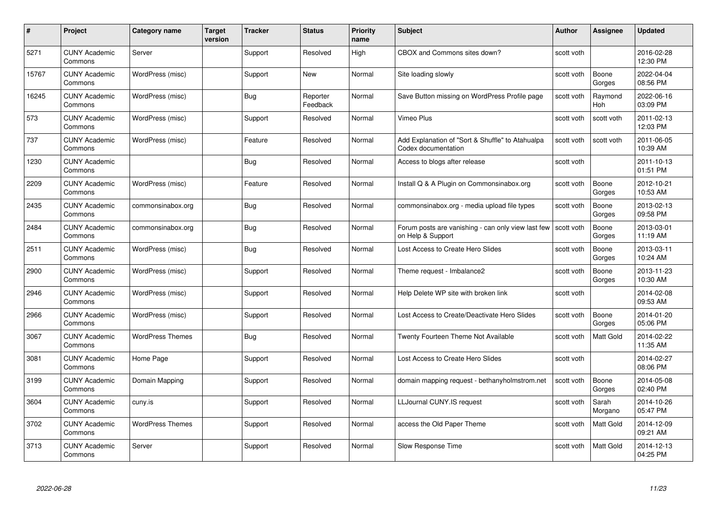| #     | Project                         | <b>Category name</b>    | Target<br>version | <b>Tracker</b> | <b>Status</b>        | <b>Priority</b><br>name | <b>Subject</b>                                                                       | <b>Author</b> | <b>Assignee</b>       | <b>Updated</b>         |
|-------|---------------------------------|-------------------------|-------------------|----------------|----------------------|-------------------------|--------------------------------------------------------------------------------------|---------------|-----------------------|------------------------|
| 5271  | <b>CUNY Academic</b><br>Commons | Server                  |                   | Support        | Resolved             | High                    | CBOX and Commons sites down?                                                         | scott voth    |                       | 2016-02-28<br>12:30 PM |
| 15767 | <b>CUNY Academic</b><br>Commons | WordPress (misc)        |                   | Support        | <b>New</b>           | Normal                  | Site loading slowly                                                                  | scott voth    | Boone<br>Gorges       | 2022-04-04<br>08:56 PM |
| 16245 | <b>CUNY Academic</b><br>Commons | WordPress (misc)        |                   | Bug            | Reporter<br>Feedback | Normal                  | Save Button missing on WordPress Profile page                                        | scott voth    | Raymond<br><b>Hoh</b> | 2022-06-16<br>03:09 PM |
| 573   | <b>CUNY Academic</b><br>Commons | WordPress (misc)        |                   | Support        | Resolved             | Normal                  | Vimeo Plus                                                                           | scott voth    | scott voth            | 2011-02-13<br>12:03 PM |
| 737   | <b>CUNY Academic</b><br>Commons | WordPress (misc)        |                   | Feature        | Resolved             | Normal                  | Add Explanation of "Sort & Shuffle" to Atahualpa<br>Codex documentation              | scott voth    | scott voth            | 2011-06-05<br>10:39 AM |
| 1230  | <b>CUNY Academic</b><br>Commons |                         |                   | Bug            | Resolved             | Normal                  | Access to blogs after release                                                        | scott voth    |                       | 2011-10-13<br>01:51 PM |
| 2209  | <b>CUNY Academic</b><br>Commons | WordPress (misc)        |                   | Feature        | Resolved             | Normal                  | Install Q & A Plugin on Commonsinabox.org                                            | scott voth    | Boone<br>Gorges       | 2012-10-21<br>10:53 AM |
| 2435  | <b>CUNY Academic</b><br>Commons | commonsinabox.org       |                   | <b>Bug</b>     | Resolved             | Normal                  | commonsinabox.org - media upload file types                                          | scott voth    | Boone<br>Gorges       | 2013-02-13<br>09:58 PM |
| 2484  | <b>CUNY Academic</b><br>Commons | commonsinabox.org       |                   | <b>Bug</b>     | Resolved             | Normal                  | Forum posts are vanishing - can only view last few   scott voth<br>on Help & Support |               | Boone<br>Gorges       | 2013-03-01<br>11:19 AM |
| 2511  | <b>CUNY Academic</b><br>Commons | WordPress (misc)        |                   | Bug            | Resolved             | Normal                  | Lost Access to Create Hero Slides                                                    | scott voth    | Boone<br>Gorges       | 2013-03-11<br>10:24 AM |
| 2900  | CUNY Academic<br>Commons        | WordPress (misc)        |                   | Support        | Resolved             | Normal                  | Theme request - Imbalance2                                                           | scott voth    | Boone<br>Gorges       | 2013-11-23<br>10:30 AM |
| 2946  | <b>CUNY Academic</b><br>Commons | WordPress (misc)        |                   | Support        | Resolved             | Normal                  | Help Delete WP site with broken link                                                 | scott voth    |                       | 2014-02-08<br>09:53 AM |
| 2966  | <b>CUNY Academic</b><br>Commons | WordPress (misc)        |                   | Support        | Resolved             | Normal                  | Lost Access to Create/Deactivate Hero Slides                                         | scott voth    | Boone<br>Gorges       | 2014-01-20<br>05:06 PM |
| 3067  | <b>CUNY Academic</b><br>Commons | <b>WordPress Themes</b> |                   | Bug            | Resolved             | Normal                  | Twenty Fourteen Theme Not Available                                                  | scott voth    | Matt Gold             | 2014-02-22<br>11:35 AM |
| 3081  | <b>CUNY Academic</b><br>Commons | Home Page               |                   | Support        | Resolved             | Normal                  | Lost Access to Create Hero Slides                                                    | scott voth    |                       | 2014-02-27<br>08:06 PM |
| 3199  | <b>CUNY Academic</b><br>Commons | Domain Mapping          |                   | Support        | Resolved             | Normal                  | domain mapping request - bethanyholmstrom.net                                        | scott voth    | Boone<br>Gorges       | 2014-05-08<br>02:40 PM |
| 3604  | <b>CUNY Academic</b><br>Commons | cuny.is                 |                   | Support        | Resolved             | Normal                  | LLJournal CUNY.IS request                                                            | scott voth    | Sarah<br>Morgano      | 2014-10-26<br>05:47 PM |
| 3702  | <b>CUNY Academic</b><br>Commons | <b>WordPress Themes</b> |                   | Support        | Resolved             | Normal                  | access the Old Paper Theme                                                           | scott voth    | Matt Gold             | 2014-12-09<br>09:21 AM |
| 3713  | <b>CUNY Academic</b><br>Commons | Server                  |                   | Support        | Resolved             | Normal                  | Slow Response Time                                                                   | scott voth    | Matt Gold             | 2014-12-13<br>04:25 PM |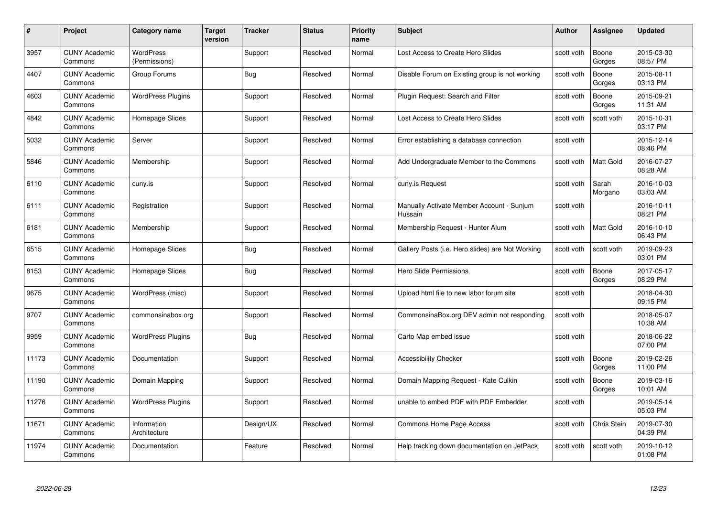| #     | Project                         | <b>Category name</b>              | <b>Target</b><br>version | <b>Tracker</b> | <b>Status</b> | <b>Priority</b><br>name | <b>Subject</b>                                       | <b>Author</b> | Assignee         | <b>Updated</b>         |
|-------|---------------------------------|-----------------------------------|--------------------------|----------------|---------------|-------------------------|------------------------------------------------------|---------------|------------------|------------------------|
| 3957  | <b>CUNY Academic</b><br>Commons | <b>WordPress</b><br>(Permissions) |                          | Support        | Resolved      | Normal                  | Lost Access to Create Hero Slides                    | scott voth    | Boone<br>Gorges  | 2015-03-30<br>08:57 PM |
| 4407  | <b>CUNY Academic</b><br>Commons | Group Forums                      |                          | Bug            | Resolved      | Normal                  | Disable Forum on Existing group is not working       | scott voth    | Boone<br>Gorges  | 2015-08-11<br>03:13 PM |
| 4603  | <b>CUNY Academic</b><br>Commons | <b>WordPress Plugins</b>          |                          | Support        | Resolved      | Normal                  | Plugin Request: Search and Filter                    | scott voth    | Boone<br>Gorges  | 2015-09-21<br>11:31 AM |
| 4842  | <b>CUNY Academic</b><br>Commons | Homepage Slides                   |                          | Support        | Resolved      | Normal                  | Lost Access to Create Hero Slides                    | scott voth    | scott voth       | 2015-10-31<br>03:17 PM |
| 5032  | <b>CUNY Academic</b><br>Commons | Server                            |                          | Support        | Resolved      | Normal                  | Error establishing a database connection             | scott voth    |                  | 2015-12-14<br>08:46 PM |
| 5846  | <b>CUNY Academic</b><br>Commons | Membership                        |                          | Support        | Resolved      | Normal                  | Add Undergraduate Member to the Commons              | scott voth    | Matt Gold        | 2016-07-27<br>08:28 AM |
| 6110  | <b>CUNY Academic</b><br>Commons | cuny.is                           |                          | Support        | Resolved      | Normal                  | cuny.is Request                                      | scott voth    | Sarah<br>Morgano | 2016-10-03<br>03:03 AM |
| 6111  | <b>CUNY Academic</b><br>Commons | Registration                      |                          | Support        | Resolved      | Normal                  | Manually Activate Member Account - Sunjum<br>Hussain | scott voth    |                  | 2016-10-11<br>08:21 PM |
| 6181  | <b>CUNY Academic</b><br>Commons | Membership                        |                          | Support        | Resolved      | Normal                  | Membership Request - Hunter Alum                     | scott voth    | Matt Gold        | 2016-10-10<br>06:43 PM |
| 6515  | <b>CUNY Academic</b><br>Commons | Homepage Slides                   |                          | Bug            | Resolved      | Normal                  | Gallery Posts (i.e. Hero slides) are Not Working     | scott voth    | scott voth       | 2019-09-23<br>03:01 PM |
| 8153  | <b>CUNY Academic</b><br>Commons | Homepage Slides                   |                          | <b>Bug</b>     | Resolved      | Normal                  | Hero Slide Permissions                               | scott voth    | Boone<br>Gorges  | 2017-05-17<br>08:29 PM |
| 9675  | <b>CUNY Academic</b><br>Commons | WordPress (misc)                  |                          | Support        | Resolved      | Normal                  | Upload html file to new labor forum site             | scott voth    |                  | 2018-04-30<br>09:15 PM |
| 9707  | <b>CUNY Academic</b><br>Commons | commonsinabox.org                 |                          | Support        | Resolved      | Normal                  | CommonsinaBox.org DEV admin not responding           | scott voth    |                  | 2018-05-07<br>10:38 AM |
| 9959  | <b>CUNY Academic</b><br>Commons | <b>WordPress Plugins</b>          |                          | Bug            | Resolved      | Normal                  | Carto Map embed issue                                | scott voth    |                  | 2018-06-22<br>07:00 PM |
| 11173 | <b>CUNY Academic</b><br>Commons | Documentation                     |                          | Support        | Resolved      | Normal                  | <b>Accessibility Checker</b>                         | scott voth    | Boone<br>Gorges  | 2019-02-26<br>11:00 PM |
| 11190 | <b>CUNY Academic</b><br>Commons | Domain Mapping                    |                          | Support        | Resolved      | Normal                  | Domain Mapping Request - Kate Culkin                 | scott voth    | Boone<br>Gorges  | 2019-03-16<br>10:01 AM |
| 11276 | <b>CUNY Academic</b><br>Commons | <b>WordPress Plugins</b>          |                          | Support        | Resolved      | Normal                  | unable to embed PDF with PDF Embedder                | scott voth    |                  | 2019-05-14<br>05:03 PM |
| 11671 | <b>CUNY Academic</b><br>Commons | Information<br>Architecture       |                          | Design/UX      | Resolved      | Normal                  | Commons Home Page Access                             | scott voth    | Chris Stein      | 2019-07-30<br>04:39 PM |
| 11974 | CUNY Academic<br>Commons        | Documentation                     |                          | Feature        | Resolved      | Normal                  | Help tracking down documentation on JetPack          | scott voth    | scott voth       | 2019-10-12<br>01:08 PM |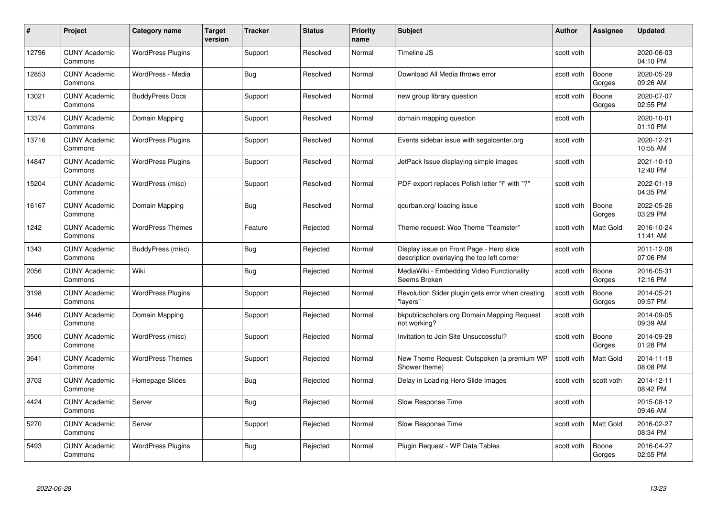| #     | Project                         | Category name            | Target<br>version | <b>Tracker</b> | <b>Status</b> | <b>Priority</b><br>name | <b>Subject</b>                                                                         | Author     | Assignee        | <b>Updated</b>         |
|-------|---------------------------------|--------------------------|-------------------|----------------|---------------|-------------------------|----------------------------------------------------------------------------------------|------------|-----------------|------------------------|
| 12796 | <b>CUNY Academic</b><br>Commons | <b>WordPress Plugins</b> |                   | Support        | Resolved      | Normal                  | Timeline JS                                                                            | scott voth |                 | 2020-06-03<br>04:10 PM |
| 12853 | <b>CUNY Academic</b><br>Commons | WordPress - Media        |                   | Bug            | Resolved      | Normal                  | Download All Media throws error                                                        | scott voth | Boone<br>Gorges | 2020-05-29<br>09:26 AM |
| 13021 | <b>CUNY Academic</b><br>Commons | <b>BuddyPress Docs</b>   |                   | Support        | Resolved      | Normal                  | new group library question                                                             | scott voth | Boone<br>Gorges | 2020-07-07<br>02:55 PM |
| 13374 | <b>CUNY Academic</b><br>Commons | Domain Mapping           |                   | Support        | Resolved      | Normal                  | domain mapping question                                                                | scott voth |                 | 2020-10-01<br>01:10 PM |
| 13716 | <b>CUNY Academic</b><br>Commons | <b>WordPress Plugins</b> |                   | Support        | Resolved      | Normal                  | Events sidebar issue with segalcenter.org                                              | scott voth |                 | 2020-12-21<br>10:55 AM |
| 14847 | <b>CUNY Academic</b><br>Commons | <b>WordPress Plugins</b> |                   | Support        | Resolved      | Normal                  | JetPack Issue displaying simple images                                                 | scott voth |                 | 2021-10-10<br>12:40 PM |
| 15204 | <b>CUNY Academic</b><br>Commons | WordPress (misc)         |                   | Support        | Resolved      | Normal                  | PDF export replaces Polish letter "ł" with "?"                                         | scott voth |                 | 2022-01-19<br>04:35 PM |
| 16167 | <b>CUNY Academic</b><br>Commons | Domain Mapping           |                   | Bug            | Resolved      | Normal                  | gcurban.org/loading issue                                                              | scott voth | Boone<br>Gorges | 2022-05-26<br>03:29 PM |
| 1242  | <b>CUNY Academic</b><br>Commons | <b>WordPress Themes</b>  |                   | Feature        | Rejected      | Normal                  | Theme request: Woo Theme "Teamster"                                                    | scott voth | Matt Gold       | 2016-10-24<br>11:41 AM |
| 1343  | <b>CUNY Academic</b><br>Commons | BuddyPress (misc)        |                   | Bug            | Rejected      | Normal                  | Display issue on Front Page - Hero slide<br>description overlaying the top left corner | scott voth |                 | 2011-12-08<br>07:06 PM |
| 2056  | <b>CUNY Academic</b><br>Commons | Wiki                     |                   | Bug            | Rejected      | Normal                  | MediaWiki - Embedding Video Functionality<br>Seems Broken                              | scott voth | Boone<br>Gorges | 2016-05-31<br>12:16 PM |
| 3198  | <b>CUNY Academic</b><br>Commons | <b>WordPress Plugins</b> |                   | Support        | Rejected      | Normal                  | Revolution Slider plugin gets error when creating<br>"lavers"                          | scott voth | Boone<br>Gorges | 2014-05-21<br>09:57 PM |
| 3446  | <b>CUNY Academic</b><br>Commons | Domain Mapping           |                   | Support        | Rejected      | Normal                  | bkpublicscholars.org Domain Mapping Request<br>not working?                            | scott voth |                 | 2014-09-05<br>09:39 AM |
| 3500  | <b>CUNY Academic</b><br>Commons | WordPress (misc)         |                   | Support        | Rejected      | Normal                  | Invitation to Join Site Unsuccessful?                                                  | scott voth | Boone<br>Gorges | 2014-09-28<br>01:28 PM |
| 3641  | <b>CUNY Academic</b><br>Commons | <b>WordPress Themes</b>  |                   | Support        | Rejected      | Normal                  | New Theme Request: Outspoken (a premium WP<br>Shower theme)                            | scott voth | Matt Gold       | 2014-11-18<br>08:08 PM |
| 3703  | <b>CUNY Academic</b><br>Commons | Homepage Slides          |                   | <b>Bug</b>     | Rejected      | Normal                  | Delay in Loading Hero Slide Images                                                     | scott voth | scott voth      | 2014-12-11<br>08:42 PM |
| 4424  | <b>CUNY Academic</b><br>Commons | Server                   |                   | Bug            | Rejected      | Normal                  | Slow Response Time                                                                     | scott voth |                 | 2015-08-12<br>09:46 AM |
| 5270  | <b>CUNY Academic</b><br>Commons | Server                   |                   | Support        | Rejected      | Normal                  | Slow Response Time                                                                     | scott voth | Matt Gold       | 2016-02-27<br>08:34 PM |
| 5493  | CUNY Academic<br>Commons        | <b>WordPress Plugins</b> |                   | <b>Bug</b>     | Rejected      | Normal                  | Plugin Reguest - WP Data Tables                                                        | scott voth | Boone<br>Gorges | 2016-04-27<br>02:55 PM |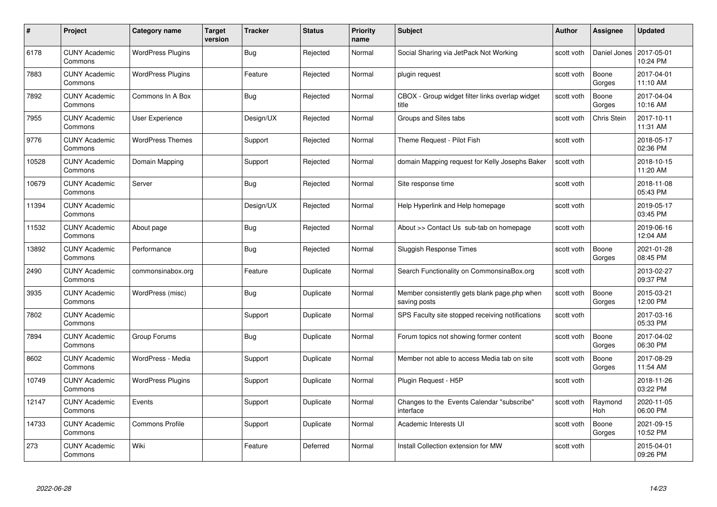| #     | Project                         | <b>Category name</b>     | <b>Target</b><br>version | <b>Tracker</b> | <b>Status</b> | <b>Priority</b><br>name | <b>Subject</b>                                               | <b>Author</b> | <b>Assignee</b>       | <b>Updated</b>         |
|-------|---------------------------------|--------------------------|--------------------------|----------------|---------------|-------------------------|--------------------------------------------------------------|---------------|-----------------------|------------------------|
| 6178  | <b>CUNY Academic</b><br>Commons | <b>WordPress Plugins</b> |                          | Bug            | Rejected      | Normal                  | Social Sharing via JetPack Not Working                       | scott voth    | Daniel Jones          | 2017-05-01<br>10:24 PM |
| 7883  | <b>CUNY Academic</b><br>Commons | <b>WordPress Plugins</b> |                          | Feature        | Rejected      | Normal                  | plugin request                                               | scott voth    | Boone<br>Gorges       | 2017-04-01<br>11:10 AM |
| 7892  | <b>CUNY Academic</b><br>Commons | Commons In A Box         |                          | Bug            | Rejected      | Normal                  | CBOX - Group widget filter links overlap widget<br>title     | scott voth    | Boone<br>Gorges       | 2017-04-04<br>10:16 AM |
| 7955  | <b>CUNY Academic</b><br>Commons | User Experience          |                          | Design/UX      | Rejected      | Normal                  | Groups and Sites tabs                                        | scott voth    | Chris Stein           | 2017-10-11<br>11:31 AM |
| 9776  | <b>CUNY Academic</b><br>Commons | <b>WordPress Themes</b>  |                          | Support        | Rejected      | Normal                  | Theme Request - Pilot Fish                                   | scott voth    |                       | 2018-05-17<br>02:36 PM |
| 10528 | <b>CUNY Academic</b><br>Commons | Domain Mapping           |                          | Support        | Rejected      | Normal                  | domain Mapping request for Kelly Josephs Baker               | scott voth    |                       | 2018-10-15<br>11:20 AM |
| 10679 | <b>CUNY Academic</b><br>Commons | Server                   |                          | Bug            | Rejected      | Normal                  | Site response time                                           | scott voth    |                       | 2018-11-08<br>05:43 PM |
| 11394 | <b>CUNY Academic</b><br>Commons |                          |                          | Design/UX      | Rejected      | Normal                  | Help Hyperlink and Help homepage                             | scott voth    |                       | 2019-05-17<br>03:45 PM |
| 11532 | <b>CUNY Academic</b><br>Commons | About page               |                          | Bug            | Rejected      | Normal                  | About >> Contact Us sub-tab on homepage                      | scott voth    |                       | 2019-06-16<br>12:04 AM |
| 13892 | <b>CUNY Academic</b><br>Commons | Performance              |                          | Bug            | Rejected      | Normal                  | Sluggish Response Times                                      | scott voth    | Boone<br>Gorges       | 2021-01-28<br>08:45 PM |
| 2490  | CUNY Academic<br>Commons        | commonsinabox.org        |                          | Feature        | Duplicate     | Normal                  | Search Functionality on CommonsinaBox.org                    | scott voth    |                       | 2013-02-27<br>09:37 PM |
| 3935  | <b>CUNY Academic</b><br>Commons | WordPress (misc)         |                          | <b>Bug</b>     | Duplicate     | Normal                  | Member consistently gets blank page.php when<br>saving posts | scott voth    | Boone<br>Gorges       | 2015-03-21<br>12:00 PM |
| 7802  | <b>CUNY Academic</b><br>Commons |                          |                          | Support        | Duplicate     | Normal                  | SPS Faculty site stopped receiving notifications             | scott voth    |                       | 2017-03-16<br>05:33 PM |
| 7894  | <b>CUNY Academic</b><br>Commons | Group Forums             |                          | Bug            | Duplicate     | Normal                  | Forum topics not showing former content                      | scott voth    | Boone<br>Gorges       | 2017-04-02<br>06:30 PM |
| 8602  | <b>CUNY Academic</b><br>Commons | WordPress - Media        |                          | Support        | Duplicate     | Normal                  | Member not able to access Media tab on site                  | scott voth    | Boone<br>Gorges       | 2017-08-29<br>11:54 AM |
| 10749 | <b>CUNY Academic</b><br>Commons | <b>WordPress Plugins</b> |                          | Support        | Duplicate     | Normal                  | Plugin Request - H5P                                         | scott voth    |                       | 2018-11-26<br>03:22 PM |
| 12147 | <b>CUNY Academic</b><br>Commons | Events                   |                          | Support        | Duplicate     | Normal                  | Changes to the Events Calendar "subscribe"<br>interface      | scott voth    | Raymond<br><b>Hoh</b> | 2020-11-05<br>06:00 PM |
| 14733 | <b>CUNY Academic</b><br>Commons | <b>Commons Profile</b>   |                          | Support        | Duplicate     | Normal                  | Academic Interests UI                                        | scott voth    | Boone<br>Gorges       | 2021-09-15<br>10:52 PM |
| 273   | <b>CUNY Academic</b><br>Commons | Wiki                     |                          | Feature        | Deferred      | Normal                  | Install Collection extension for MW                          | scott voth    |                       | 2015-04-01<br>09:26 PM |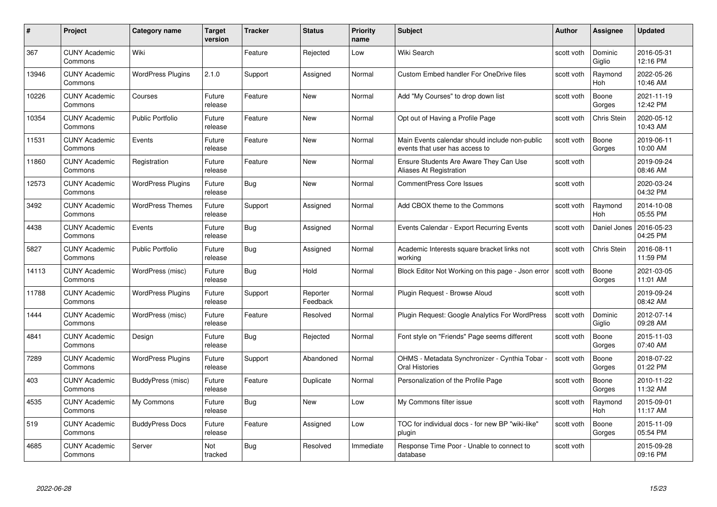| #     | Project                         | <b>Category name</b>     | Target<br>version | <b>Tracker</b> | <b>Status</b>        | <b>Priority</b><br>name | <b>Subject</b>                                                                   | <b>Author</b> | <b>Assignee</b>       | <b>Updated</b>         |
|-------|---------------------------------|--------------------------|-------------------|----------------|----------------------|-------------------------|----------------------------------------------------------------------------------|---------------|-----------------------|------------------------|
| 367   | <b>CUNY Academic</b><br>Commons | Wiki                     |                   | Feature        | Rejected             | Low                     | Wiki Search                                                                      | scott voth    | Dominic<br>Giglio     | 2016-05-31<br>12:16 PM |
| 13946 | <b>CUNY Academic</b><br>Commons | <b>WordPress Plugins</b> | 2.1.0             | Support        | Assigned             | Normal                  | <b>Custom Embed handler For OneDrive files</b>                                   | scott voth    | Raymond<br><b>Hoh</b> | 2022-05-26<br>10:46 AM |
| 10226 | <b>CUNY Academic</b><br>Commons | Courses                  | Future<br>release | Feature        | <b>New</b>           | Normal                  | Add "My Courses" to drop down list                                               | scott voth    | Boone<br>Gorges       | 2021-11-19<br>12:42 PM |
| 10354 | <b>CUNY Academic</b><br>Commons | Public Portfolio         | Future<br>release | Feature        | <b>New</b>           | Normal                  | Opt out of Having a Profile Page                                                 | scott voth    | Chris Stein           | 2020-05-12<br>10:43 AM |
| 11531 | <b>CUNY Academic</b><br>Commons | Events                   | Future<br>release | Feature        | New                  | Normal                  | Main Events calendar should include non-public<br>events that user has access to | scott voth    | Boone<br>Gorges       | 2019-06-11<br>10:00 AM |
| 11860 | <b>CUNY Academic</b><br>Commons | Registration             | Future<br>release | Feature        | <b>New</b>           | Normal                  | Ensure Students Are Aware They Can Use<br>Aliases At Registration                | scott voth    |                       | 2019-09-24<br>08:46 AM |
| 12573 | <b>CUNY Academic</b><br>Commons | <b>WordPress Plugins</b> | Future<br>release | Bug            | New                  | Normal                  | <b>CommentPress Core Issues</b>                                                  | scott voth    |                       | 2020-03-24<br>04:32 PM |
| 3492  | <b>CUNY Academic</b><br>Commons | <b>WordPress Themes</b>  | Future<br>release | Support        | Assigned             | Normal                  | Add CBOX theme to the Commons                                                    | scott voth    | Raymond<br><b>Hoh</b> | 2014-10-08<br>05:55 PM |
| 4438  | <b>CUNY Academic</b><br>Commons | Events                   | Future<br>release | Bug            | Assigned             | Normal                  | Events Calendar - Export Recurring Events                                        | scott voth    | Daniel Jones          | 2016-05-23<br>04:25 PM |
| 5827  | <b>CUNY Academic</b><br>Commons | <b>Public Portfolio</b>  | Future<br>release | Bug            | Assigned             | Normal                  | Academic Interests square bracket links not<br>working                           | scott voth    | Chris Stein           | 2016-08-11<br>11:59 PM |
| 14113 | CUNY Academic<br>Commons        | WordPress (misc)         | Future<br>release | Bug            | Hold                 | Normal                  | Block Editor Not Working on this page - Json error                               | scott voth    | Boone<br>Gorges       | 2021-03-05<br>11:01 AM |
| 11788 | <b>CUNY Academic</b><br>Commons | <b>WordPress Plugins</b> | Future<br>release | Support        | Reporter<br>Feedback | Normal                  | Plugin Request - Browse Aloud                                                    | scott voth    |                       | 2019-09-24<br>08:42 AM |
| 1444  | <b>CUNY Academic</b><br>Commons | WordPress (misc)         | Future<br>release | Feature        | Resolved             | Normal                  | Plugin Request: Google Analytics For WordPress                                   | scott voth    | Dominic<br>Giglio     | 2012-07-14<br>09:28 AM |
| 4841  | <b>CUNY Academic</b><br>Commons | Design                   | Future<br>release | <b>Bug</b>     | Rejected             | Normal                  | Font style on "Friends" Page seems different                                     | scott voth    | Boone<br>Gorges       | 2015-11-03<br>07:40 AM |
| 7289  | <b>CUNY Academic</b><br>Commons | <b>WordPress Plugins</b> | Future<br>release | Support        | Abandoned            | Normal                  | OHMS - Metadata Synchronizer - Cynthia Tobar -<br>Oral Histories                 | scott voth    | Boone<br>Gorges       | 2018-07-22<br>01:22 PM |
| 403   | <b>CUNY Academic</b><br>Commons | BuddyPress (misc)        | Future<br>release | Feature        | Duplicate            | Normal                  | Personalization of the Profile Page                                              | scott voth    | Boone<br>Gorges       | 2010-11-22<br>11:32 AM |
| 4535  | <b>CUNY Academic</b><br>Commons | My Commons               | Future<br>release | <b>Bug</b>     | <b>New</b>           | Low                     | My Commons filter issue                                                          | scott voth    | Raymond<br><b>Hoh</b> | 2015-09-01<br>11:17 AM |
| 519   | <b>CUNY Academic</b><br>Commons | <b>BuddyPress Docs</b>   | Future<br>release | Feature        | Assigned             | Low                     | TOC for individual docs - for new BP "wiki-like"<br>plugin                       | scott voth    | Boone<br>Gorges       | 2015-11-09<br>05:54 PM |
| 4685  | <b>CUNY Academic</b><br>Commons | Server                   | Not<br>tracked    | Bug            | Resolved             | Immediate               | Response Time Poor - Unable to connect to<br>database                            | scott voth    |                       | 2015-09-28<br>09:16 PM |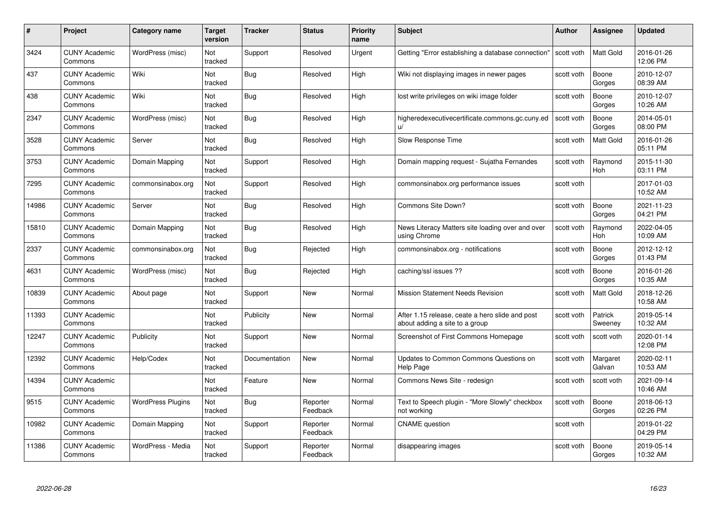| #     | Project                         | Category name            | <b>Target</b><br>version | <b>Tracker</b> | <b>Status</b>        | <b>Priority</b><br>name | <b>Subject</b>                                                                    | <b>Author</b> | Assignee           | <b>Updated</b>         |
|-------|---------------------------------|--------------------------|--------------------------|----------------|----------------------|-------------------------|-----------------------------------------------------------------------------------|---------------|--------------------|------------------------|
| 3424  | <b>CUNY Academic</b><br>Commons | WordPress (misc)         | Not<br>tracked           | Support        | Resolved             | Urgent                  | Getting "Error establishing a database connection"                                | scott voth    | <b>Matt Gold</b>   | 2016-01-26<br>12:06 PM |
| 437   | <b>CUNY Academic</b><br>Commons | Wiki                     | Not<br>tracked           | Bug            | Resolved             | High                    | Wiki not displaying images in newer pages                                         | scott voth    | Boone<br>Gorges    | 2010-12-07<br>08:39 AM |
| 438   | <b>CUNY Academic</b><br>Commons | Wiki                     | Not<br>tracked           | Bug            | Resolved             | High                    | lost write privileges on wiki image folder                                        | scott voth    | Boone<br>Gorges    | 2010-12-07<br>10:26 AM |
| 2347  | <b>CUNY Academic</b><br>Commons | WordPress (misc)         | Not<br>tracked           | Bug            | Resolved             | High                    | higheredexecutivecertificate.commons.gc.cuny.ed<br>U                              | scott voth    | Boone<br>Gorges    | 2014-05-01<br>08:00 PM |
| 3528  | <b>CUNY Academic</b><br>Commons | Server                   | Not<br>tracked           | Bug            | Resolved             | High                    | Slow Response Time                                                                | scott voth    | <b>Matt Gold</b>   | 2016-01-26<br>05:11 PM |
| 3753  | <b>CUNY Academic</b><br>Commons | Domain Mapping           | Not<br>tracked           | Support        | Resolved             | High                    | Domain mapping request - Sujatha Fernandes                                        | scott voth    | Raymond<br>Hoh     | 2015-11-30<br>03:11 PM |
| 7295  | <b>CUNY Academic</b><br>Commons | commonsinabox.org        | Not<br>tracked           | Support        | Resolved             | High                    | commonsinabox.org performance issues                                              | scott voth    |                    | 2017-01-03<br>10:52 AM |
| 14986 | <b>CUNY Academic</b><br>Commons | Server                   | Not<br>tracked           | <b>Bug</b>     | Resolved             | High                    | Commons Site Down?                                                                | scott voth    | Boone<br>Gorges    | 2021-11-23<br>04:21 PM |
| 15810 | <b>CUNY Academic</b><br>Commons | Domain Mapping           | Not<br>tracked           | Bug            | Resolved             | High                    | News Literacy Matters site loading over and over<br>using Chrome                  | scott voth    | Raymond<br>Hoh     | 2022-04-05<br>10:09 AM |
| 2337  | <b>CUNY Academic</b><br>Commons | commonsinabox.org        | Not<br>tracked           | Bug            | Rejected             | High                    | commonsinabox.org - notifications                                                 | scott voth    | Boone<br>Gorges    | 2012-12-12<br>01:43 PM |
| 4631  | <b>CUNY Academic</b><br>Commons | WordPress (misc)         | Not<br>tracked           | Bug            | Rejected             | High                    | caching/ssl issues ??                                                             | scott voth    | Boone<br>Gorges    | 2016-01-26<br>10:35 AM |
| 10839 | <b>CUNY Academic</b><br>Commons | About page               | Not<br>tracked           | Support        | <b>New</b>           | Normal                  | <b>Mission Statement Needs Revision</b>                                           | scott voth    | <b>Matt Gold</b>   | 2018-12-26<br>10:58 AM |
| 11393 | <b>CUNY Academic</b><br>Commons |                          | Not<br>tracked           | Publicity      | <b>New</b>           | Normal                  | After 1.15 release, ceate a hero slide and post<br>about adding a site to a group | scott voth    | Patrick<br>Sweeney | 2019-05-14<br>10:32 AM |
| 12247 | <b>CUNY Academic</b><br>Commons | Publicity                | Not<br>tracked           | Support        | <b>New</b>           | Normal                  | Screenshot of First Commons Homepage                                              | scott voth    | scott voth         | 2020-01-14<br>12:08 PM |
| 12392 | <b>CUNY Academic</b><br>Commons | Help/Codex               | Not<br>tracked           | Documentation  | <b>New</b>           | Normal                  | Updates to Common Commons Questions on<br>Help Page                               | scott voth    | Margaret<br>Galvan | 2020-02-11<br>10:53 AM |
| 14394 | <b>CUNY Academic</b><br>Commons |                          | Not<br>tracked           | Feature        | <b>New</b>           | Normal                  | Commons News Site - redesign                                                      | scott voth    | scott voth         | 2021-09-14<br>10:46 AM |
| 9515  | <b>CUNY Academic</b><br>Commons | <b>WordPress Plugins</b> | Not<br>tracked           | Bug            | Reporter<br>Feedback | Normal                  | Text to Speech plugin - "More Slowly" checkbox<br>not working                     | scott voth    | Boone<br>Gorges    | 2018-06-13<br>02:26 PM |
| 10982 | <b>CUNY Academic</b><br>Commons | Domain Mapping           | Not<br>tracked           | Support        | Reporter<br>Feedback | Normal                  | <b>CNAME</b> question                                                             | scott voth    |                    | 2019-01-22<br>04:29 PM |
| 11386 | <b>CUNY Academic</b><br>Commons | WordPress - Media        | Not<br>tracked           | Support        | Reporter<br>Feedback | Normal                  | disappearing images                                                               | scott voth    | Boone<br>Gorges    | 2019-05-14<br>10:32 AM |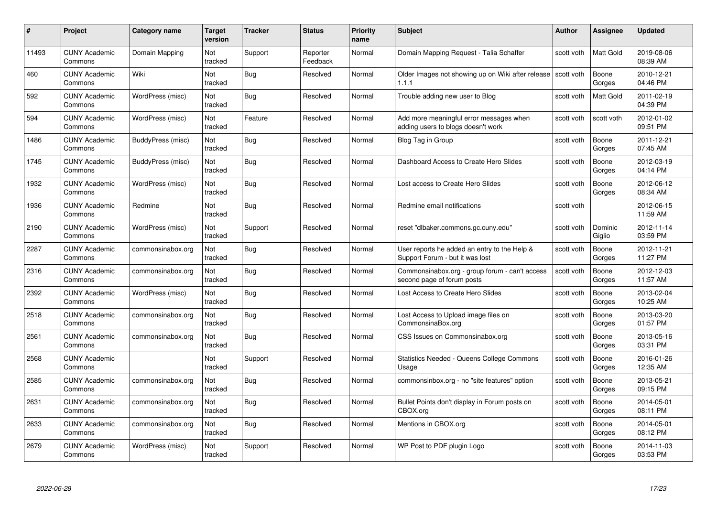| #     | Project                         | <b>Category name</b> | Target<br>version | <b>Tracker</b> | <b>Status</b>        | <b>Priority</b><br>name | <b>Subject</b>                                                                  | <b>Author</b> | <b>Assignee</b>   | <b>Updated</b>         |
|-------|---------------------------------|----------------------|-------------------|----------------|----------------------|-------------------------|---------------------------------------------------------------------------------|---------------|-------------------|------------------------|
| 11493 | <b>CUNY Academic</b><br>Commons | Domain Mapping       | Not<br>tracked    | Support        | Reporter<br>Feedback | Normal                  | Domain Mapping Request - Talia Schaffer                                         | scott voth    | <b>Matt Gold</b>  | 2019-08-06<br>08:39 AM |
| 460   | <b>CUNY Academic</b><br>Commons | Wiki                 | Not<br>tracked    | Bug            | Resolved             | Normal                  | Older Images not showing up on Wiki after release   scott voth<br>1.1.1         |               | Boone<br>Gorges   | 2010-12-21<br>04:46 PM |
| 592   | <b>CUNY Academic</b><br>Commons | WordPress (misc)     | Not<br>tracked    | <b>Bug</b>     | Resolved             | Normal                  | Trouble adding new user to Blog                                                 | scott voth    | Matt Gold         | 2011-02-19<br>04:39 PM |
| 594   | <b>CUNY Academic</b><br>Commons | WordPress (misc)     | Not<br>tracked    | Feature        | Resolved             | Normal                  | Add more meaningful error messages when<br>adding users to blogs doesn't work   | scott voth    | scott voth        | 2012-01-02<br>09:51 PM |
| 1486  | <b>CUNY Academic</b><br>Commons | BuddyPress (misc)    | Not<br>tracked    | Bug            | Resolved             | Normal                  | Blog Tag in Group                                                               | scott voth    | Boone<br>Gorges   | 2011-12-21<br>07:45 AM |
| 1745  | <b>CUNY Academic</b><br>Commons | BuddyPress (misc)    | Not<br>tracked    | Bug            | Resolved             | Normal                  | Dashboard Access to Create Hero Slides                                          | scott voth    | Boone<br>Gorges   | 2012-03-19<br>04:14 PM |
| 1932  | <b>CUNY Academic</b><br>Commons | WordPress (misc)     | Not<br>tracked    | Bug            | Resolved             | Normal                  | Lost access to Create Hero Slides                                               | scott voth    | Boone<br>Gorges   | 2012-06-12<br>08:34 AM |
| 1936  | <b>CUNY Academic</b><br>Commons | Redmine              | Not<br>tracked    | <b>Bug</b>     | Resolved             | Normal                  | Redmine email notifications                                                     | scott voth    |                   | 2012-06-15<br>11:59 AM |
| 2190  | <b>CUNY Academic</b><br>Commons | WordPress (misc)     | Not<br>tracked    | Support        | Resolved             | Normal                  | reset "dlbaker.commons.gc.cuny.edu"                                             | scott voth    | Dominic<br>Giglio | 2012-11-14<br>03:59 PM |
| 2287  | <b>CUNY Academic</b><br>Commons | commonsinabox.org    | Not<br>tracked    | <b>Bug</b>     | Resolved             | Normal                  | User reports he added an entry to the Help &<br>Support Forum - but it was lost | scott voth    | Boone<br>Gorges   | 2012-11-21<br>11:27 PM |
| 2316  | CUNY Academic<br>Commons        | commonsinabox.org    | Not<br>tracked    | Bug            | Resolved             | Normal                  | Commonsinabox.org - group forum - can't access<br>second page of forum posts    | scott voth    | Boone<br>Gorges   | 2012-12-03<br>11:57 AM |
| 2392  | <b>CUNY Academic</b><br>Commons | WordPress (misc)     | Not<br>tracked    | <b>Bug</b>     | Resolved             | Normal                  | Lost Access to Create Hero Slides                                               | scott voth    | Boone<br>Gorges   | 2013-02-04<br>10:25 AM |
| 2518  | <b>CUNY Academic</b><br>Commons | commonsinabox.org    | Not<br>tracked    | Bug            | Resolved             | Normal                  | Lost Access to Upload image files on<br>CommonsinaBox.org                       | scott voth    | Boone<br>Gorges   | 2013-03-20<br>01:57 PM |
| 2561  | <b>CUNY Academic</b><br>Commons | commonsinabox.org    | Not<br>tracked    | Bug            | Resolved             | Normal                  | CSS Issues on Commonsinabox.org                                                 | scott voth    | Boone<br>Gorges   | 2013-05-16<br>03:31 PM |
| 2568  | <b>CUNY Academic</b><br>Commons |                      | Not<br>tracked    | Support        | Resolved             | Normal                  | <b>Statistics Needed - Queens College Commons</b><br>Usage                      | scott voth    | Boone<br>Gorges   | 2016-01-26<br>12:35 AM |
| 2585  | <b>CUNY Academic</b><br>Commons | commonsinabox.org    | Not<br>tracked    | Bug            | Resolved             | Normal                  | commonsinbox.org - no "site features" option                                    | scott voth    | Boone<br>Gorges   | 2013-05-21<br>09:15 PM |
| 2631  | <b>CUNY Academic</b><br>Commons | commonsinabox.org    | Not<br>tracked    | <b>Bug</b>     | Resolved             | Normal                  | Bullet Points don't display in Forum posts on<br>CBOX.org                       | scott voth    | Boone<br>Gorges   | 2014-05-01<br>08:11 PM |
| 2633  | <b>CUNY Academic</b><br>Commons | commonsinabox.org    | Not<br>tracked    | Bug            | Resolved             | Normal                  | Mentions in CBOX.org                                                            | scott voth    | Boone<br>Gorges   | 2014-05-01<br>08:12 PM |
| 2679  | CUNY Academic<br>Commons        | WordPress (misc)     | Not<br>tracked    | Support        | Resolved             | Normal                  | WP Post to PDF plugin Logo                                                      | scott voth    | Boone<br>Gorges   | 2014-11-03<br>03:53 PM |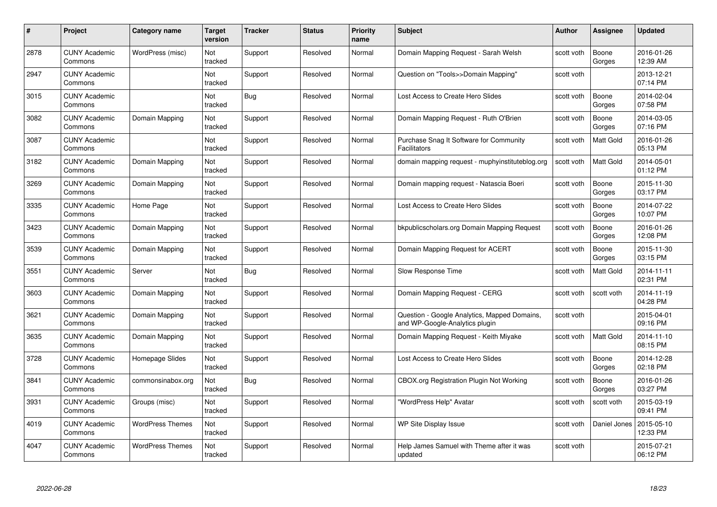| #    | Project                         | <b>Category name</b>    | Target<br>version | <b>Tracker</b> | <b>Status</b> | <b>Priority</b><br>name | <b>Subject</b>                                                                 | Author     | Assignee         | <b>Updated</b>         |
|------|---------------------------------|-------------------------|-------------------|----------------|---------------|-------------------------|--------------------------------------------------------------------------------|------------|------------------|------------------------|
| 2878 | <b>CUNY Academic</b><br>Commons | WordPress (misc)        | Not<br>tracked    | Support        | Resolved      | Normal                  | Domain Mapping Request - Sarah Welsh                                           | scott voth | Boone<br>Gorges  | 2016-01-26<br>12:39 AM |
| 2947 | <b>CUNY Academic</b><br>Commons |                         | Not<br>tracked    | Support        | Resolved      | Normal                  | Question on "Tools>>Domain Mapping"                                            | scott voth |                  | 2013-12-21<br>07:14 PM |
| 3015 | <b>CUNY Academic</b><br>Commons |                         | Not<br>tracked    | <b>Bug</b>     | Resolved      | Normal                  | Lost Access to Create Hero Slides                                              | scott voth | Boone<br>Gorges  | 2014-02-04<br>07:58 PM |
| 3082 | <b>CUNY Academic</b><br>Commons | Domain Mapping          | Not<br>tracked    | Support        | Resolved      | Normal                  | Domain Mapping Request - Ruth O'Brien                                          | scott voth | Boone<br>Gorges  | 2014-03-05<br>07:16 PM |
| 3087 | <b>CUNY Academic</b><br>Commons |                         | Not<br>tracked    | Support        | Resolved      | Normal                  | Purchase Snag It Software for Community<br><b>Facilitators</b>                 | scott voth | <b>Matt Gold</b> | 2016-01-26<br>05:13 PM |
| 3182 | <b>CUNY Academic</b><br>Commons | Domain Mapping          | Not<br>tracked    | Support        | Resolved      | Normal                  | domain mapping request - muphyinstituteblog.org                                | scott voth | Matt Gold        | 2014-05-01<br>01:12 PM |
| 3269 | <b>CUNY Academic</b><br>Commons | Domain Mapping          | Not<br>tracked    | Support        | Resolved      | Normal                  | Domain mapping request - Natascia Boeri                                        | scott voth | Boone<br>Gorges  | 2015-11-30<br>03:17 PM |
| 3335 | <b>CUNY Academic</b><br>Commons | Home Page               | Not<br>tracked    | Support        | Resolved      | Normal                  | Lost Access to Create Hero Slides                                              | scott voth | Boone<br>Gorges  | 2014-07-22<br>10:07 PM |
| 3423 | <b>CUNY Academic</b><br>Commons | Domain Mapping          | Not<br>tracked    | Support        | Resolved      | Normal                  | bkpublicscholars.org Domain Mapping Request                                    | scott voth | Boone<br>Gorges  | 2016-01-26<br>12:08 PM |
| 3539 | <b>CUNY Academic</b><br>Commons | Domain Mapping          | Not<br>tracked    | Support        | Resolved      | Normal                  | Domain Mapping Request for ACERT                                               | scott voth | Boone<br>Gorges  | 2015-11-30<br>03:15 PM |
| 3551 | CUNY Academic<br>Commons        | Server                  | Not<br>tracked    | Bug            | Resolved      | Normal                  | Slow Response Time                                                             | scott voth | Matt Gold        | 2014-11-11<br>02:31 PM |
| 3603 | <b>CUNY Academic</b><br>Commons | Domain Mapping          | Not<br>tracked    | Support        | Resolved      | Normal                  | Domain Mapping Request - CERG                                                  | scott voth | scott voth       | 2014-11-19<br>04:28 PM |
| 3621 | <b>CUNY Academic</b><br>Commons | Domain Mapping          | Not<br>tracked    | Support        | Resolved      | Normal                  | Question - Google Analytics, Mapped Domains,<br>and WP-Google-Analytics plugin | scott voth |                  | 2015-04-01<br>09:16 PM |
| 3635 | <b>CUNY Academic</b><br>Commons | Domain Mapping          | Not<br>tracked    | Support        | Resolved      | Normal                  | Domain Mapping Request - Keith Miyake                                          | scott voth | Matt Gold        | 2014-11-10<br>08:15 PM |
| 3728 | <b>CUNY Academic</b><br>Commons | Homepage Slides         | Not<br>tracked    | Support        | Resolved      | Normal                  | Lost Access to Create Hero Slides                                              | scott voth | Boone<br>Gorges  | 2014-12-28<br>02:18 PM |
| 3841 | <b>CUNY Academic</b><br>Commons | commonsinabox.org       | Not<br>tracked    | <b>Bug</b>     | Resolved      | Normal                  | <b>CBOX.org Registration Plugin Not Working</b>                                | scott voth | Boone<br>Gorges  | 2016-01-26<br>03:27 PM |
| 3931 | <b>CUNY Academic</b><br>Commons | Groups (misc)           | Not<br>tracked    | Support        | Resolved      | Normal                  | "WordPress Help" Avatar                                                        | scott voth | scott voth       | 2015-03-19<br>09:41 PM |
| 4019 | <b>CUNY Academic</b><br>Commons | <b>WordPress Themes</b> | Not<br>tracked    | Support        | Resolved      | Normal                  | WP Site Display Issue                                                          | scott voth | Daniel Jones     | 2015-05-10<br>12:33 PM |
| 4047 | CUNY Academic<br>Commons        | <b>WordPress Themes</b> | Not<br>tracked    | Support        | Resolved      | Normal                  | Help James Samuel with Theme after it was<br>updated                           | scott voth |                  | 2015-07-21<br>06:12 PM |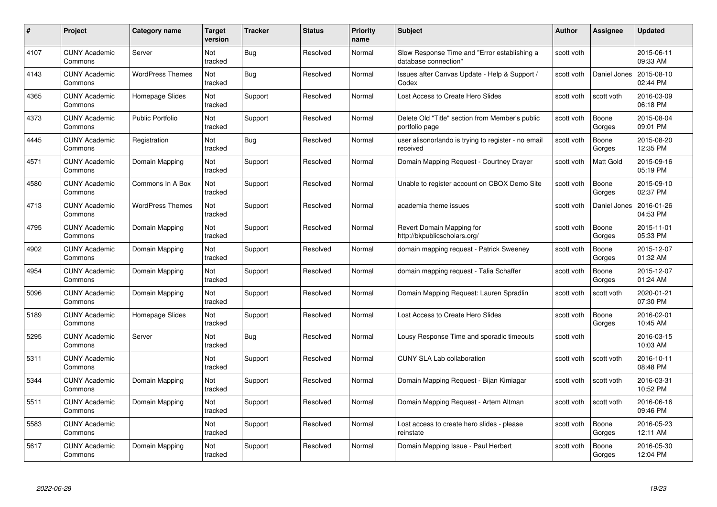| #    | Project                         | <b>Category name</b>    | Target<br>version | <b>Tracker</b> | <b>Status</b> | <b>Priority</b><br>name | <b>Subject</b>                                                       | <b>Author</b> | <b>Assignee</b> | <b>Updated</b>         |
|------|---------------------------------|-------------------------|-------------------|----------------|---------------|-------------------------|----------------------------------------------------------------------|---------------|-----------------|------------------------|
| 4107 | <b>CUNY Academic</b><br>Commons | Server                  | Not<br>tracked    | Bug            | Resolved      | Normal                  | Slow Response Time and "Error establishing a<br>database connection" | scott voth    |                 | 2015-06-11<br>09:33 AM |
| 4143 | <b>CUNY Academic</b><br>Commons | <b>WordPress Themes</b> | Not<br>tracked    | <b>Bug</b>     | Resolved      | Normal                  | Issues after Canvas Update - Help & Support /<br>Codex               | scott voth    | Daniel Jones    | 2015-08-10<br>02:44 PM |
| 4365 | <b>CUNY Academic</b><br>Commons | Homepage Slides         | Not<br>tracked    | Support        | Resolved      | Normal                  | Lost Access to Create Hero Slides                                    | scott voth    | scott voth      | 2016-03-09<br>06:18 PM |
| 4373 | <b>CUNY Academic</b><br>Commons | <b>Public Portfolio</b> | Not<br>tracked    | Support        | Resolved      | Normal                  | Delete Old "Title" section from Member's public<br>portfolio page    | scott voth    | Boone<br>Gorges | 2015-08-04<br>09:01 PM |
| 4445 | CUNY Academic<br>Commons        | Registration            | Not<br>tracked    | Bug            | Resolved      | Normal                  | user alisonorlando is trying to register - no email<br>received      | scott voth    | Boone<br>Gorges | 2015-08-20<br>12:35 PM |
| 4571 | <b>CUNY Academic</b><br>Commons | Domain Mapping          | Not<br>tracked    | Support        | Resolved      | Normal                  | Domain Mapping Request - Courtney Drayer                             | scott voth    | Matt Gold       | 2015-09-16<br>05:19 PM |
| 4580 | <b>CUNY Academic</b><br>Commons | Commons In A Box        | Not<br>tracked    | Support        | Resolved      | Normal                  | Unable to register account on CBOX Demo Site                         | scott voth    | Boone<br>Gorges | 2015-09-10<br>02:37 PM |
| 4713 | <b>CUNY Academic</b><br>Commons | <b>WordPress Themes</b> | Not<br>tracked    | Support        | Resolved      | Normal                  | academia theme issues                                                | scott voth    | Daniel Jones    | 2016-01-26<br>04:53 PM |
| 4795 | <b>CUNY Academic</b><br>Commons | Domain Mapping          | Not<br>tracked    | Support        | Resolved      | Normal                  | Revert Domain Mapping for<br>http://bkpublicscholars.org/            | scott voth    | Boone<br>Gorges | 2015-11-01<br>05:33 PM |
| 4902 | <b>CUNY Academic</b><br>Commons | Domain Mapping          | Not<br>tracked    | Support        | Resolved      | Normal                  | domain mapping request - Patrick Sweeney                             | scott voth    | Boone<br>Gorges | 2015-12-07<br>01:32 AM |
| 4954 | CUNY Academic<br>Commons        | Domain Mapping          | Not<br>tracked    | Support        | Resolved      | Normal                  | domain mapping request - Talia Schaffer                              | scott voth    | Boone<br>Gorges | 2015-12-07<br>01:24 AM |
| 5096 | <b>CUNY Academic</b><br>Commons | Domain Mapping          | Not<br>tracked    | Support        | Resolved      | Normal                  | Domain Mapping Request: Lauren Spradlin                              | scott voth    | scott voth      | 2020-01-21<br>07:30 PM |
| 5189 | <b>CUNY Academic</b><br>Commons | Homepage Slides         | Not<br>tracked    | Support        | Resolved      | Normal                  | Lost Access to Create Hero Slides                                    | scott voth    | Boone<br>Gorges | 2016-02-01<br>10:45 AM |
| 5295 | <b>CUNY Academic</b><br>Commons | Server                  | Not<br>tracked    | Bug            | Resolved      | Normal                  | Lousy Response Time and sporadic timeouts                            | scott voth    |                 | 2016-03-15<br>10:03 AM |
| 5311 | <b>CUNY Academic</b><br>Commons |                         | Not<br>tracked    | Support        | Resolved      | Normal                  | <b>CUNY SLA Lab collaboration</b>                                    | scott voth    | scott voth      | 2016-10-11<br>08:48 PM |
| 5344 | <b>CUNY Academic</b><br>Commons | Domain Mapping          | Not<br>tracked    | Support        | Resolved      | Normal                  | Domain Mapping Request - Bijan Kimiagar                              | scott voth    | scott voth      | 2016-03-31<br>10:52 PM |
| 5511 | <b>CUNY Academic</b><br>Commons | Domain Mapping          | Not<br>tracked    | Support        | Resolved      | Normal                  | Domain Mapping Request - Artem Altman                                | scott voth    | scott voth      | 2016-06-16<br>09:46 PM |
| 5583 | <b>CUNY Academic</b><br>Commons |                         | Not<br>tracked    | Support        | Resolved      | Normal                  | Lost access to create hero slides - please<br>reinstate              | scott voth    | Boone<br>Gorges | 2016-05-23<br>12:11 AM |
| 5617 | CUNY Academic<br>Commons        | Domain Mapping          | Not<br>tracked    | Support        | Resolved      | Normal                  | Domain Mapping Issue - Paul Herbert                                  | scott voth    | Boone<br>Gorges | 2016-05-30<br>12:04 PM |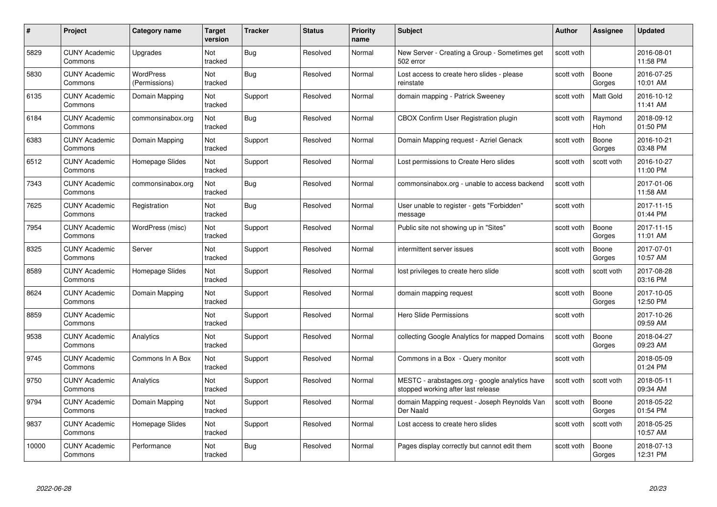| #     | Project                         | <b>Category name</b>       | Target<br>version     | <b>Tracker</b> | <b>Status</b> | <b>Priority</b><br>name | <b>Subject</b>                                                                       | <b>Author</b> | <b>Assignee</b>       | <b>Updated</b>         |
|-------|---------------------------------|----------------------------|-----------------------|----------------|---------------|-------------------------|--------------------------------------------------------------------------------------|---------------|-----------------------|------------------------|
| 5829  | <b>CUNY Academic</b><br>Commons | Upgrades                   | Not<br>tracked        | Bug            | Resolved      | Normal                  | New Server - Creating a Group - Sometimes get<br>502 error                           | scott voth    |                       | 2016-08-01<br>11:58 PM |
| 5830  | <b>CUNY Academic</b><br>Commons | WordPress<br>(Permissions) | Not<br>tracked        | <b>Bug</b>     | Resolved      | Normal                  | Lost access to create hero slides - please<br>reinstate                              | scott voth    | Boone<br>Gorges       | 2016-07-25<br>10:01 AM |
| 6135  | <b>CUNY Academic</b><br>Commons | Domain Mapping             | Not<br>tracked        | Support        | Resolved      | Normal                  | domain mapping - Patrick Sweeney                                                     | scott voth    | <b>Matt Gold</b>      | 2016-10-12<br>11:41 AM |
| 6184  | <b>CUNY Academic</b><br>Commons | commonsinabox.org          | Not<br>tracked        | <b>Bug</b>     | Resolved      | Normal                  | CBOX Confirm User Registration plugin                                                | scott voth    | Raymond<br><b>Hoh</b> | 2018-09-12<br>01:50 PM |
| 6383  | <b>CUNY Academic</b><br>Commons | Domain Mapping             | <b>Not</b><br>tracked | Support        | Resolved      | Normal                  | Domain Mapping request - Azriel Genack                                               | scott voth    | Boone<br>Gorges       | 2016-10-21<br>03:48 PM |
| 6512  | <b>CUNY Academic</b><br>Commons | Homepage Slides            | Not<br>tracked        | Support        | Resolved      | Normal                  | Lost permissions to Create Hero slides                                               | scott voth    | scott voth            | 2016-10-27<br>11:00 PM |
| 7343  | <b>CUNY Academic</b><br>Commons | commonsinabox.org          | Not<br>tracked        | Bug            | Resolved      | Normal                  | commonsinabox.org - unable to access backend                                         | scott voth    |                       | 2017-01-06<br>11:58 AM |
| 7625  | <b>CUNY Academic</b><br>Commons | Registration               | Not<br>tracked        | Bug            | Resolved      | Normal                  | User unable to register - gets "Forbidden"<br>message                                | scott voth    |                       | 2017-11-15<br>01:44 PM |
| 7954  | <b>CUNY Academic</b><br>Commons | WordPress (misc)           | Not<br>tracked        | Support        | Resolved      | Normal                  | Public site not showing up in "Sites"                                                | scott voth    | Boone<br>Gorges       | 2017-11-15<br>11:01 AM |
| 8325  | <b>CUNY Academic</b><br>Commons | Server                     | Not<br>tracked        | Support        | Resolved      | Normal                  | intermittent server issues                                                           | scott voth    | Boone<br>Gorges       | 2017-07-01<br>10:57 AM |
| 8589  | <b>CUNY Academic</b><br>Commons | Homepage Slides            | Not<br>tracked        | Support        | Resolved      | Normal                  | lost privileges to create hero slide                                                 | scott voth    | scott voth            | 2017-08-28<br>03:16 PM |
| 8624  | <b>CUNY Academic</b><br>Commons | Domain Mapping             | Not<br>tracked        | Support        | Resolved      | Normal                  | domain mapping request                                                               | scott voth    | Boone<br>Gorges       | 2017-10-05<br>12:50 PM |
| 8859  | <b>CUNY Academic</b><br>Commons |                            | Not<br>tracked        | Support        | Resolved      | Normal                  | <b>Hero Slide Permissions</b>                                                        | scott voth    |                       | 2017-10-26<br>09:59 AM |
| 9538  | <b>CUNY Academic</b><br>Commons | Analytics                  | Not<br>tracked        | Support        | Resolved      | Normal                  | collecting Google Analytics for mapped Domains                                       | scott voth    | Boone<br>Gorges       | 2018-04-27<br>09:23 AM |
| 9745  | CUNY Academic<br>Commons        | Commons In A Box           | Not<br>tracked        | Support        | Resolved      | Normal                  | Commons in a Box - Query monitor                                                     | scott voth    |                       | 2018-05-09<br>01:24 PM |
| 9750  | <b>CUNY Academic</b><br>Commons | Analytics                  | Not<br>tracked        | Support        | Resolved      | Normal                  | MESTC - arabstages.org - google analytics have<br>stopped working after last release | scott voth    | scott voth            | 2018-05-11<br>09:34 AM |
| 9794  | <b>CUNY Academic</b><br>Commons | Domain Mapping             | Not<br>tracked        | Support        | Resolved      | Normal                  | domain Mapping request - Joseph Reynolds Van<br>Der Naald                            | scott voth    | Boone<br>Gorges       | 2018-05-22<br>01:54 PM |
| 9837  | <b>CUNY Academic</b><br>Commons | Homepage Slides            | Not<br>tracked        | Support        | Resolved      | Normal                  | Lost access to create hero slides                                                    | scott voth    | scott voth            | 2018-05-25<br>10:57 AM |
| 10000 | CUNY Academic<br>Commons        | Performance                | Not<br>tracked        | <b>Bug</b>     | Resolved      | Normal                  | Pages display correctly but cannot edit them                                         | scott voth    | Boone<br>Gorges       | 2018-07-13<br>12:31 PM |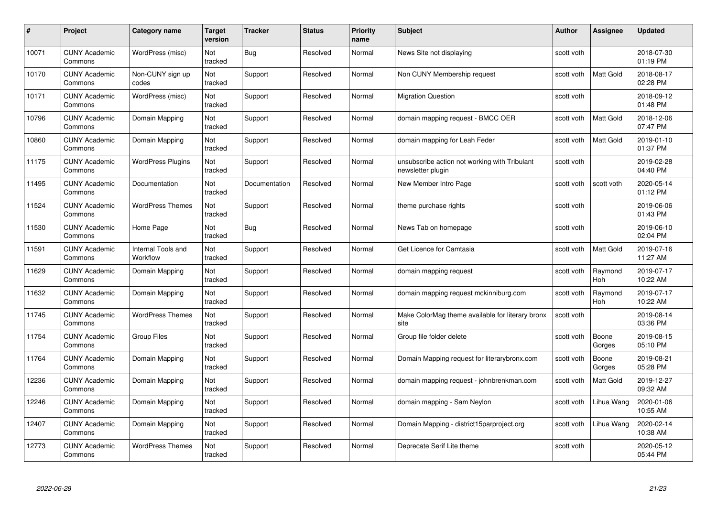| #     | Project                         | <b>Category name</b>           | Target<br>version | <b>Tracker</b> | <b>Status</b> | <b>Priority</b><br>name | <b>Subject</b>                                                     | <b>Author</b> | <b>Assignee</b>  | <b>Updated</b>         |
|-------|---------------------------------|--------------------------------|-------------------|----------------|---------------|-------------------------|--------------------------------------------------------------------|---------------|------------------|------------------------|
| 10071 | <b>CUNY Academic</b><br>Commons | WordPress (misc)               | Not<br>tracked    | Bug            | Resolved      | Normal                  | News Site not displaying                                           | scott voth    |                  | 2018-07-30<br>01:19 PM |
| 10170 | <b>CUNY Academic</b><br>Commons | Non-CUNY sign up<br>codes      | Not<br>tracked    | Support        | Resolved      | Normal                  | Non CUNY Membership request                                        | scott voth    | Matt Gold        | 2018-08-17<br>02:28 PM |
| 10171 | <b>CUNY Academic</b><br>Commons | WordPress (misc)               | Not<br>tracked    | Support        | Resolved      | Normal                  | <b>Migration Question</b>                                          | scott voth    |                  | 2018-09-12<br>01:48 PM |
| 10796 | <b>CUNY Academic</b><br>Commons | Domain Mapping                 | Not<br>tracked    | Support        | Resolved      | Normal                  | domain mapping request - BMCC OER                                  | scott voth    | Matt Gold        | 2018-12-06<br>07:47 PM |
| 10860 | <b>CUNY Academic</b><br>Commons | Domain Mapping                 | Not<br>tracked    | Support        | Resolved      | Normal                  | domain mapping for Leah Feder                                      | scott voth    | <b>Matt Gold</b> | 2019-01-10<br>01:37 PM |
| 11175 | <b>CUNY Academic</b><br>Commons | <b>WordPress Plugins</b>       | Not<br>tracked    | Support        | Resolved      | Normal                  | unsubscribe action not working with Tribulant<br>newsletter plugin | scott voth    |                  | 2019-02-28<br>04:40 PM |
| 11495 | <b>CUNY Academic</b><br>Commons | Documentation                  | Not<br>tracked    | Documentation  | Resolved      | Normal                  | New Member Intro Page                                              | scott voth    | scott voth       | 2020-05-14<br>01:12 PM |
| 11524 | <b>CUNY Academic</b><br>Commons | <b>WordPress Themes</b>        | Not<br>tracked    | Support        | Resolved      | Normal                  | theme purchase rights                                              | scott voth    |                  | 2019-06-06<br>01:43 PM |
| 11530 | <b>CUNY Academic</b><br>Commons | Home Page                      | Not<br>tracked    | <b>Bug</b>     | Resolved      | Normal                  | News Tab on homepage                                               | scott voth    |                  | 2019-06-10<br>02:04 PM |
| 11591 | <b>CUNY Academic</b><br>Commons | Internal Tools and<br>Workflow | Not<br>tracked    | Support        | Resolved      | Normal                  | Get Licence for Camtasia                                           | scott voth    | Matt Gold        | 2019-07-16<br>11:27 AM |
| 11629 | CUNY Academic<br>Commons        | Domain Mapping                 | Not<br>tracked    | Support        | Resolved      | Normal                  | domain mapping request                                             | scott voth    | Raymond<br>Hoh   | 2019-07-17<br>10:22 AM |
| 11632 | <b>CUNY Academic</b><br>Commons | Domain Mapping                 | Not<br>tracked    | Support        | Resolved      | Normal                  | domain mapping request mckinniburg.com                             | scott voth    | Raymond<br>Hoh   | 2019-07-17<br>10:22 AM |
| 11745 | <b>CUNY Academic</b><br>Commons | <b>WordPress Themes</b>        | Not<br>tracked    | Support        | Resolved      | Normal                  | Make ColorMag theme available for literary bronx<br>site           | scott voth    |                  | 2019-08-14<br>03:36 PM |
| 11754 | <b>CUNY Academic</b><br>Commons | <b>Group Files</b>             | Not<br>tracked    | Support        | Resolved      | Normal                  | Group file folder delete                                           | scott voth    | Boone<br>Gorges  | 2019-08-15<br>05:10 PM |
| 11764 | <b>CUNY Academic</b><br>Commons | Domain Mapping                 | Not<br>tracked    | Support        | Resolved      | Normal                  | Domain Mapping request for literarybronx.com                       | scott voth    | Boone<br>Gorges  | 2019-08-21<br>05:28 PM |
| 12236 | <b>CUNY Academic</b><br>Commons | Domain Mapping                 | Not<br>tracked    | Support        | Resolved      | Normal                  | domain mapping request - johnbrenkman.com                          | scott voth    | Matt Gold        | 2019-12-27<br>09:32 AM |
| 12246 | <b>CUNY Academic</b><br>Commons | Domain Mapping                 | Not<br>tracked    | Support        | Resolved      | Normal                  | domain mapping - Sam Neylon                                        | scott voth    | Lihua Wang       | 2020-01-06<br>10:55 AM |
| 12407 | <b>CUNY Academic</b><br>Commons | Domain Mapping                 | Not<br>tracked    | Support        | Resolved      | Normal                  | Domain Mapping - district15parproject.org                          | scott voth    | Lihua Wang       | 2020-02-14<br>10:38 AM |
| 12773 | CUNY Academic<br>Commons        | <b>WordPress Themes</b>        | Not<br>tracked    | Support        | Resolved      | Normal                  | Deprecate Serif Lite theme                                         | scott voth    |                  | 2020-05-12<br>05:44 PM |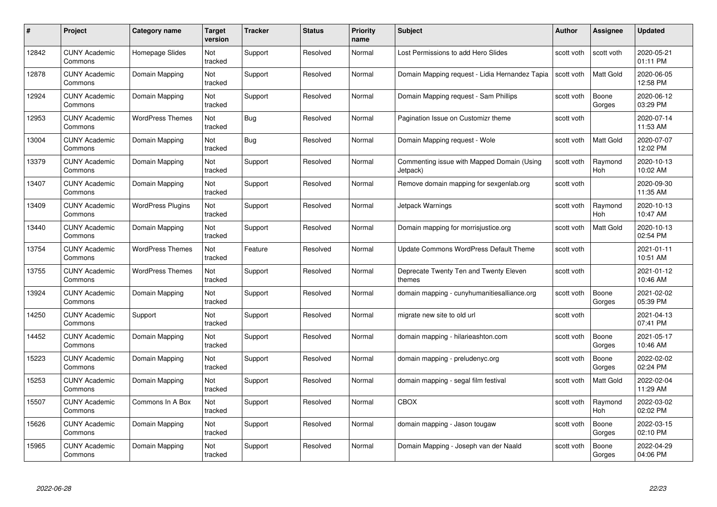| #     | Project                         | <b>Category name</b>     | Target<br>version | <b>Tracker</b> | <b>Status</b> | <b>Priority</b><br>name | <b>Subject</b>                                         | <b>Author</b> | <b>Assignee</b>       | <b>Updated</b>         |
|-------|---------------------------------|--------------------------|-------------------|----------------|---------------|-------------------------|--------------------------------------------------------|---------------|-----------------------|------------------------|
| 12842 | <b>CUNY Academic</b><br>Commons | Homepage Slides          | Not<br>tracked    | Support        | Resolved      | Normal                  | Lost Permissions to add Hero Slides                    | scott voth    | scott voth            | 2020-05-21<br>01:11 PM |
| 12878 | <b>CUNY Academic</b><br>Commons | Domain Mapping           | Not<br>tracked    | Support        | Resolved      | Normal                  | Domain Mapping request - Lidia Hernandez Tapia         | scott voth    | <b>Matt Gold</b>      | 2020-06-05<br>12:58 PM |
| 12924 | <b>CUNY Academic</b><br>Commons | Domain Mapping           | Not<br>tracked    | Support        | Resolved      | Normal                  | Domain Mapping request - Sam Phillips                  | scott voth    | Boone<br>Gorges       | 2020-06-12<br>03:29 PM |
| 12953 | <b>CUNY Academic</b><br>Commons | <b>WordPress Themes</b>  | Not<br>tracked    | <b>Bug</b>     | Resolved      | Normal                  | Pagination Issue on Customizr theme                    | scott voth    |                       | 2020-07-14<br>11:53 AM |
| 13004 | <b>CUNY Academic</b><br>Commons | Domain Mapping           | Not<br>tracked    | Bug            | Resolved      | Normal                  | Domain Mapping request - Wole                          | scott voth    | <b>Matt Gold</b>      | 2020-07-07<br>12:02 PM |
| 13379 | <b>CUNY Academic</b><br>Commons | Domain Mapping           | Not<br>tracked    | Support        | Resolved      | Normal                  | Commenting issue with Mapped Domain (Using<br>Jetpack) | scott voth    | Raymond<br>Hoh        | 2020-10-13<br>10:02 AM |
| 13407 | <b>CUNY Academic</b><br>Commons | Domain Mapping           | Not<br>tracked    | Support        | Resolved      | Normal                  | Remove domain mapping for sexgenlab.org                | scott voth    |                       | 2020-09-30<br>11:35 AM |
| 13409 | <b>CUNY Academic</b><br>Commons | <b>WordPress Plugins</b> | Not<br>tracked    | Support        | Resolved      | Normal                  | Jetpack Warnings                                       | scott voth    | Raymond<br><b>Hoh</b> | 2020-10-13<br>10:47 AM |
| 13440 | <b>CUNY Academic</b><br>Commons | Domain Mapping           | Not<br>tracked    | Support        | Resolved      | Normal                  | Domain mapping for morrisjustice.org                   | scott voth    | <b>Matt Gold</b>      | 2020-10-13<br>02:54 PM |
| 13754 | <b>CUNY Academic</b><br>Commons | <b>WordPress Themes</b>  | Not<br>tracked    | Feature        | Resolved      | Normal                  | Update Commons WordPress Default Theme                 | scott voth    |                       | 2021-01-11<br>10:51 AM |
| 13755 | CUNY Academic<br>Commons        | <b>WordPress Themes</b>  | Not<br>tracked    | Support        | Resolved      | Normal                  | Deprecate Twenty Ten and Twenty Eleven<br>themes       | scott voth    |                       | 2021-01-12<br>10:46 AM |
| 13924 | <b>CUNY Academic</b><br>Commons | Domain Mapping           | Not<br>tracked    | Support        | Resolved      | Normal                  | domain mapping - cunyhumanitiesalliance.org            | scott voth    | Boone<br>Gorges       | 2021-02-02<br>05:39 PM |
| 14250 | <b>CUNY Academic</b><br>Commons | Support                  | Not<br>tracked    | Support        | Resolved      | Normal                  | migrate new site to old url                            | scott voth    |                       | 2021-04-13<br>07:41 PM |
| 14452 | <b>CUNY Academic</b><br>Commons | Domain Mapping           | Not<br>tracked    | Support        | Resolved      | Normal                  | domain mapping - hilarieashton.com                     | scott voth    | Boone<br>Gorges       | 2021-05-17<br>10:46 AM |
| 15223 | <b>CUNY Academic</b><br>Commons | Domain Mapping           | Not<br>tracked    | Support        | Resolved      | Normal                  | domain mapping - preludenyc.org                        | scott voth    | Boone<br>Gorges       | 2022-02-02<br>02:24 PM |
| 15253 | <b>CUNY Academic</b><br>Commons | Domain Mapping           | Not<br>tracked    | Support        | Resolved      | Normal                  | domain mapping - segal film festival                   | scott voth    | <b>Matt Gold</b>      | 2022-02-04<br>11:29 AM |
| 15507 | <b>CUNY Academic</b><br>Commons | Commons In A Box         | Not<br>tracked    | Support        | Resolved      | Normal                  | <b>CBOX</b>                                            | scott voth    | Raymond<br><b>Hoh</b> | 2022-03-02<br>02:02 PM |
| 15626 | <b>CUNY Academic</b><br>Commons | Domain Mapping           | Not<br>tracked    | Support        | Resolved      | Normal                  | domain mapping - Jason tougaw                          | scott voth    | Boone<br>Gorges       | 2022-03-15<br>02:10 PM |
| 15965 | CUNY Academic<br>Commons        | Domain Mapping           | Not<br>tracked    | Support        | Resolved      | Normal                  | Domain Mapping - Joseph van der Naald                  | scott voth    | Boone<br>Gorges       | 2022-04-29<br>04:06 PM |